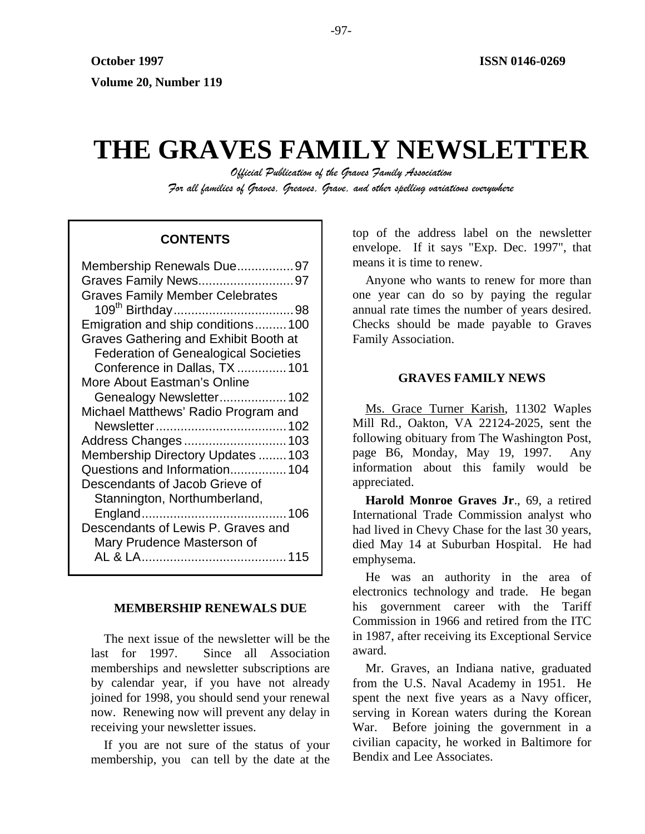# **THE GRAVES FAMILY NEWSLETTER**

*Official Publication of the Graves Family Association For all families of Graves, Greaves, Grave, and other spelling variations everywhere* 

# **CONTENTS**

| Membership Renewals Due97                   |
|---------------------------------------------|
| Graves Family News97                        |
| <b>Graves Family Member Celebrates</b>      |
|                                             |
| Emigration and ship conditions100           |
| Graves Gathering and Exhibit Booth at       |
| <b>Federation of Genealogical Societies</b> |
| Conference in Dallas, TX  101               |
| More About Eastman's Online                 |
| Genealogy Newsletter 102                    |
| Michael Matthews' Radio Program and         |
|                                             |
|                                             |
| Address Changes 103                         |
| Membership Directory Updates  103           |
| Questions and Information 104               |
| Descendants of Jacob Grieve of              |
|                                             |
| Stannington, Northumberland,                |
| Descendants of Lewis P. Graves and          |
|                                             |
| Mary Prudence Masterson of                  |

#### **MEMBERSHIP RENEWALS DUE**

The next issue of the newsletter will be the last for 1997. Since all Association memberships and newsletter subscriptions are by calendar year, if you have not already joined for 1998, you should send your renewal now. Renewing now will prevent any delay in receiving your newsletter issues.

If you are not sure of the status of your membership, you can tell by the date at the top of the address label on the newsletter envelope. If it says "Exp. Dec. 1997", that means it is time to renew.

Anyone who wants to renew for more than one year can do so by paying the regular annual rate times the number of years desired. Checks should be made payable to Graves Family Association.

## **GRAVES FAMILY NEWS**

Ms. Grace Turner Karish, 11302 Waples Mill Rd., Oakton, VA 22124-2025, sent the following obituary from The Washington Post, page B6, Monday, May 19, 1997. Any information about this family would be appreciated.

**Harold Monroe Graves Jr**., 69, a retired International Trade Commission analyst who had lived in Chevy Chase for the last 30 years, died May 14 at Suburban Hospital. He had emphysema.

He was an authority in the area of electronics technology and trade. He began his government career with the Tariff Commission in 1966 and retired from the ITC in 1987, after receiving its Exceptional Service award.

Mr. Graves, an Indiana native, graduated from the U.S. Naval Academy in 1951. He spent the next five years as a Navy officer, serving in Korean waters during the Korean War. Before joining the government in a civilian capacity, he worked in Baltimore for Bendix and Lee Associates.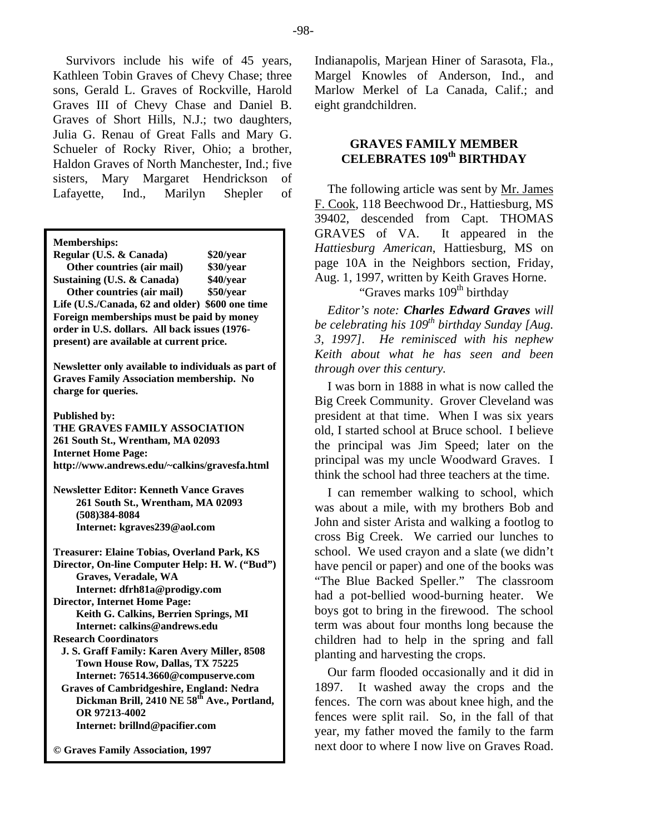Survivors include his wife of 45 years, Kathleen Tobin Graves of Chevy Chase; three sons, Gerald L. Graves of Rockville, Harold Graves III of Chevy Chase and Daniel B. Graves of Short Hills, N.J.; two daughters, Julia G. Renau of Great Falls and Mary G. Schueler of Rocky River, Ohio; a brother, Haldon Graves of North Manchester, Ind.; five sisters, Mary Margaret Hendrickson of Lafayette, Ind., Marilyn Shepler of

**Memberships:** 

| Regular (U.S. & Canada)                         | \$20/year |  |
|-------------------------------------------------|-----------|--|
| Other countries (air mail)                      | \$30/year |  |
| Sustaining (U.S. & Canada)                      | \$40/year |  |
| Other countries (air mail)                      | \$50/year |  |
| Life (U.S./Canada, 62 and older) \$600 one time |           |  |
| Foreign memberships must be paid by money       |           |  |
| order in U.S. dollars. All back issues (1976-   |           |  |
| present) are available at current price.        |           |  |

**Newsletter only available to individuals as part of Graves Family Association membership. No charge for queries.** 

**Published by:** 

**THE GRAVES FAMILY ASSOCIATION 261 South St., Wrentham, MA 02093 Internet Home Page: http://www.andrews.edu/~calkins/gravesfa.html** 

**Newsletter Editor: Kenneth Vance Graves 261 South St., Wrentham, MA 02093 (508)384-8084 Internet: kgraves239@aol.com** 

**Treasurer: Elaine Tobias, Overland Park, KS Director, On-line Computer Help: H. W. ("Bud") Graves, Veradale, WA Internet: dfrh81a@prodigy.com Director, Internet Home Page: Keith G. Calkins, Berrien Springs, MI Internet: calkins@andrews.edu Research Coordinators J. S. Graff Family: Karen Avery Miller, 8508 Town House Row, Dallas, TX 75225 Internet: 76514.3660@compuserve.com Graves of Cambridgeshire, England: Nedra**  Dickman Brill, 2410 NE 58<sup>th</sup> Ave., Portland, **OR 97213-4002 Internet: brillnd@pacifier.com** 

**© Graves Family Association, 1997**

Indianapolis, Marjean Hiner of Sarasota, Fla., Margel Knowles of Anderson, Ind., and Marlow Merkel of La Canada, Calif.; and eight grandchildren.

# **GRAVES FAMILY MEMBER CELEBRATES 109th BIRTHDAY**

The following article was sent by <u>Mr. James</u> F. Cook, 118 Beechwood Dr., Hattiesburg, MS 39402, descended from Capt. THOMAS GRAVES of VA. It appeared in the *Hattiesburg American*, Hattiesburg, MS on page 10A in the Neighbors section, Friday, Aug. 1, 1997, written by Keith Graves Horne. "Graves marks 109<sup>th</sup> birthday"

*Editor's note: Charles Edward Graves will be celebrating his 109<sup>th</sup> birthday Sunday [Aug. 3, 1997]. He reminisced with his nephew Keith about what he has seen and been through over this century.* 

I was born in 1888 in what is now called the Big Creek Community. Grover Cleveland was president at that time. When I was six years old, I started school at Bruce school. I believe the principal was Jim Speed; later on the principal was my uncle Woodward Graves. I think the school had three teachers at the time.

I can remember walking to school, which was about a mile, with my brothers Bob and John and sister Arista and walking a footlog to cross Big Creek. We carried our lunches to school. We used crayon and a slate (we didn't have pencil or paper) and one of the books was "The Blue Backed Speller." The classroom had a pot-bellied wood-burning heater. We boys got to bring in the firewood. The school term was about four months long because the children had to help in the spring and fall planting and harvesting the crops.

Our farm flooded occasionally and it did in 1897. It washed away the crops and the fences. The corn was about knee high, and the fences were split rail. So, in the fall of that year, my father moved the family to the farm next door to where I now live on Graves Road.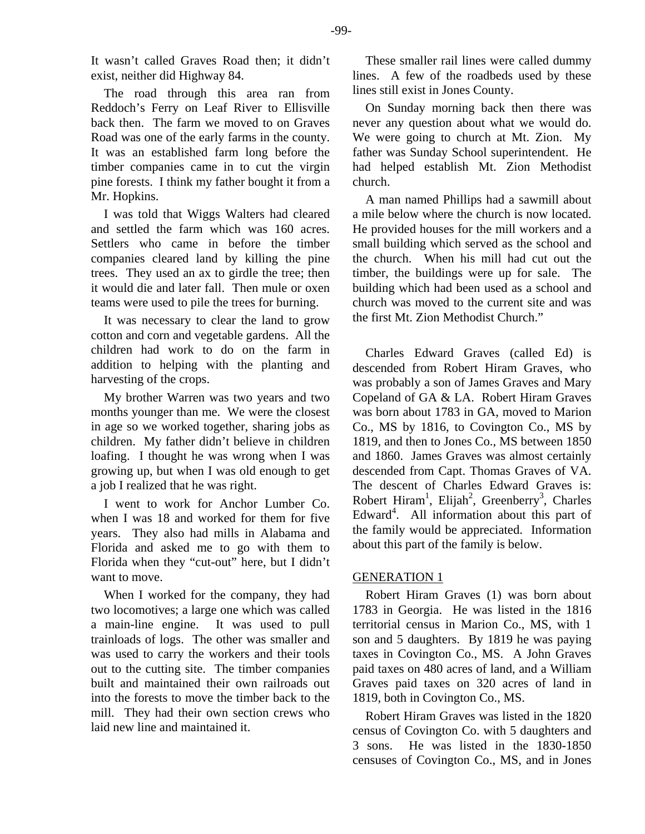It wasn't called Graves Road then; it didn't exist, neither did Highway 84.

The road through this area ran from Reddoch's Ferry on Leaf River to Ellisville back then. The farm we moved to on Graves Road was one of the early farms in the county. It was an established farm long before the timber companies came in to cut the virgin pine forests. I think my father bought it from a Mr. Hopkins.

I was told that Wiggs Walters had cleared and settled the farm which was 160 acres. Settlers who came in before the timber companies cleared land by killing the pine trees. They used an ax to girdle the tree; then it would die and later fall. Then mule or oxen teams were used to pile the trees for burning.

It was necessary to clear the land to grow cotton and corn and vegetable gardens. All the children had work to do on the farm in addition to helping with the planting and harvesting of the crops.

My brother Warren was two years and two months younger than me. We were the closest in age so we worked together, sharing jobs as children. My father didn't believe in children loafing. I thought he was wrong when I was growing up, but when I was old enough to get a job I realized that he was right.

I went to work for Anchor Lumber Co. when I was 18 and worked for them for five years. They also had mills in Alabama and Florida and asked me to go with them to Florida when they "cut-out" here, but I didn't want to move.

When I worked for the company, they had two locomotives; a large one which was called a main-line engine. It was used to pull trainloads of logs. The other was smaller and was used to carry the workers and their tools out to the cutting site. The timber companies built and maintained their own railroads out into the forests to move the timber back to the mill. They had their own section crews who laid new line and maintained it.

These smaller rail lines were called dummy lines. A few of the roadbeds used by these lines still exist in Jones County.

On Sunday morning back then there was never any question about what we would do. We were going to church at Mt. Zion. My father was Sunday School superintendent. He had helped establish Mt. Zion Methodist church.

A man named Phillips had a sawmill about a mile below where the church is now located. He provided houses for the mill workers and a small building which served as the school and the church. When his mill had cut out the timber, the buildings were up for sale. The building which had been used as a school and church was moved to the current site and was the first Mt. Zion Methodist Church."

Charles Edward Graves (called Ed) is descended from Robert Hiram Graves, who was probably a son of James Graves and Mary Copeland of GA & LA. Robert Hiram Graves was born about 1783 in GA, moved to Marion Co., MS by 1816, to Covington Co., MS by 1819, and then to Jones Co., MS between 1850 and 1860. James Graves was almost certainly descended from Capt. Thomas Graves of VA. The descent of Charles Edward Graves is: Robert Hiram<sup>1</sup>, Elijah<sup>2</sup>, Greenberry<sup>3</sup>, Charles Edward<sup>4</sup>. All information about this part of the family would be appreciated. Information about this part of the family is below.

## GENERATION 1

Robert Hiram Graves (1) was born about 1783 in Georgia. He was listed in the 1816 territorial census in Marion Co., MS, with 1 son and 5 daughters. By 1819 he was paying taxes in Covington Co., MS. A John Graves paid taxes on 480 acres of land, and a William Graves paid taxes on 320 acres of land in 1819, both in Covington Co., MS.

Robert Hiram Graves was listed in the 1820 census of Covington Co. with 5 daughters and 3 sons. He was listed in the 1830-1850 censuses of Covington Co., MS, and in Jones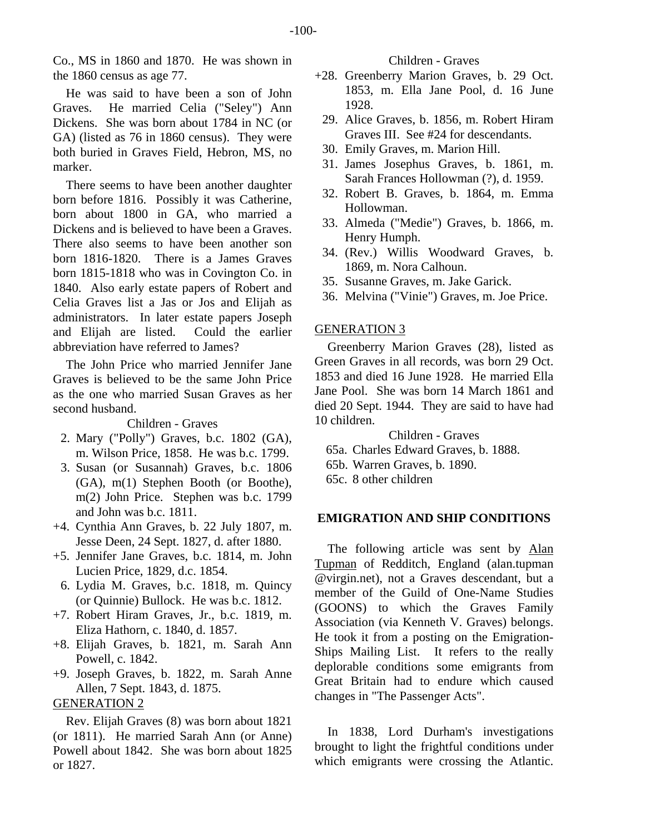Co., MS in 1860 and 1870. He was shown in the 1860 census as age 77.

He was said to have been a son of John Graves. He married Celia ("Seley") Ann Dickens. She was born about 1784 in NC (or GA) (listed as 76 in 1860 census). They were both buried in Graves Field, Hebron, MS, no marker.

There seems to have been another daughter born before 1816. Possibly it was Catherine, born about 1800 in GA, who married a Dickens and is believed to have been a Graves. There also seems to have been another son born 1816-1820. There is a James Graves born 1815-1818 who was in Covington Co. in 1840. Also early estate papers of Robert and Celia Graves list a Jas or Jos and Elijah as administrators. In later estate papers Joseph and Elijah are listed. Could the earlier abbreviation have referred to James?

The John Price who married Jennifer Jane Graves is believed to be the same John Price as the one who married Susan Graves as her second husband.

Children - Graves

- 2. Mary ("Polly") Graves, b.c. 1802 (GA), m. Wilson Price, 1858. He was b.c. 1799.
- 3. Susan (or Susannah) Graves, b.c. 1806 (GA), m(1) Stephen Booth (or Boothe), m(2) John Price. Stephen was b.c. 1799 and John was b.c. 1811.
- +4. Cynthia Ann Graves, b. 22 July 1807, m. Jesse Deen, 24 Sept. 1827, d. after 1880.
- +5. Jennifer Jane Graves, b.c. 1814, m. John Lucien Price, 1829, d.c. 1854.
- 6. Lydia M. Graves, b.c. 1818, m. Quincy (or Quinnie) Bullock. He was b.c. 1812.
- +7. Robert Hiram Graves, Jr., b.c. 1819, m. Eliza Hathorn, c. 1840, d. 1857.
- +8. Elijah Graves, b. 1821, m. Sarah Ann Powell, c. 1842.
- +9. Joseph Graves, b. 1822, m. Sarah Anne Allen, 7 Sept. 1843, d. 1875.

# GENERATION 2

Rev. Elijah Graves (8) was born about 1821 (or 1811). He married Sarah Ann (or Anne) Powell about 1842. She was born about 1825 or 1827.

Children - Graves

- +28. Greenberry Marion Graves, b. 29 Oct. 1853, m. Ella Jane Pool, d. 16 June 1928.
	- 29. Alice Graves, b. 1856, m. Robert Hiram Graves III. See #24 for descendants.
	- 30. Emily Graves, m. Marion Hill.
	- 31. James Josephus Graves, b. 1861, m. Sarah Frances Hollowman (?), d. 1959.
	- 32. Robert B. Graves, b. 1864, m. Emma Hollowman.
	- 33. Almeda ("Medie") Graves, b. 1866, m. Henry Humph.
	- 34. (Rev.) Willis Woodward Graves, b. 1869, m. Nora Calhoun.
	- 35. Susanne Graves, m. Jake Garick.
	- 36. Melvina ("Vinie") Graves, m. Joe Price.

# GENERATION 3

Greenberry Marion Graves (28), listed as Green Graves in all records, was born 29 Oct. 1853 and died 16 June 1928. He married Ella Jane Pool. She was born 14 March 1861 and died 20 Sept. 1944. They are said to have had 10 children.

Children - Graves

- 65a. Charles Edward Graves, b. 1888.
- 65b. Warren Graves, b. 1890.
- 65c. 8 other children

# **EMIGRATION AND SHIP CONDITIONS**

The following article was sent by Alan Tupman of Redditch, England (alan.tupman @virgin.net), not a Graves descendant, but a member of the Guild of One-Name Studies (GOONS) to which the Graves Family Association (via Kenneth V. Graves) belongs. He took it from a posting on the Emigration-Ships Mailing List. It refers to the really deplorable conditions some emigrants from Great Britain had to endure which caused changes in "The Passenger Acts".

In 1838, Lord Durham's investigations brought to light the frightful conditions under which emigrants were crossing the Atlantic.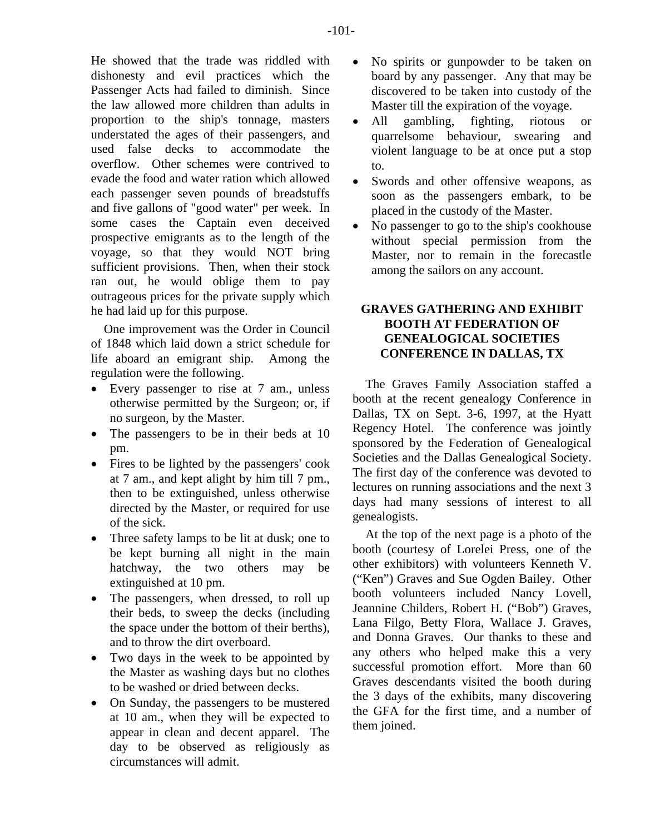He showed that the trade was riddled with dishonesty and evil practices which the Passenger Acts had failed to diminish. Since the law allowed more children than adults in proportion to the ship's tonnage, masters understated the ages of their passengers, and used false decks to accommodate the overflow. Other schemes were contrived to evade the food and water ration which allowed each passenger seven pounds of breadstuffs and five gallons of "good water" per week. In some cases the Captain even deceived prospective emigrants as to the length of the voyage, so that they would NOT bring sufficient provisions. Then, when their stock ran out, he would oblige them to pay outrageous prices for the private supply which he had laid up for this purpose.

One improvement was the Order in Council of 1848 which laid down a strict schedule for life aboard an emigrant ship. Among the regulation were the following.

- Every passenger to rise at 7 am., unless otherwise permitted by the Surgeon; or, if no surgeon, by the Master.
- The passengers to be in their beds at 10 pm.
- Fires to be lighted by the passengers' cook at 7 am., and kept alight by him till 7 pm., then to be extinguished, unless otherwise directed by the Master, or required for use of the sick.
- Three safety lamps to be lit at dusk; one to be kept burning all night in the main hatchway, the two others may be extinguished at 10 pm.
- The passengers, when dressed, to roll up their beds, to sweep the decks (including the space under the bottom of their berths), and to throw the dirt overboard.
- Two days in the week to be appointed by the Master as washing days but no clothes to be washed or dried between decks.
- On Sunday, the passengers to be mustered at 10 am., when they will be expected to appear in clean and decent apparel. The day to be observed as religiously as circumstances will admit.
- No spirits or gunpowder to be taken on board by any passenger. Any that may be discovered to be taken into custody of the Master till the expiration of the voyage.
- All gambling, fighting, riotous or quarrelsome behaviour, swearing and violent language to be at once put a stop to.
- Swords and other offensive weapons, as soon as the passengers embark, to be placed in the custody of the Master.
- No passenger to go to the ship's cookhouse without special permission from the Master, nor to remain in the forecastle among the sailors on any account.

# **GRAVES GATHERING AND EXHIBIT BOOTH AT FEDERATION OF GENEALOGICAL SOCIETIES CONFERENCE IN DALLAS, TX**

The Graves Family Association staffed a booth at the recent genealogy Conference in Dallas, TX on Sept. 3-6, 1997, at the Hyatt Regency Hotel. The conference was jointly sponsored by the Federation of Genealogical Societies and the Dallas Genealogical Society. The first day of the conference was devoted to lectures on running associations and the next 3 days had many sessions of interest to all genealogists.

At the top of the next page is a photo of the booth (courtesy of Lorelei Press, one of the other exhibitors) with volunteers Kenneth V. ("Ken") Graves and Sue Ogden Bailey. Other booth volunteers included Nancy Lovell, Jeannine Childers, Robert H. ("Bob") Graves, Lana Filgo, Betty Flora, Wallace J. Graves, and Donna Graves. Our thanks to these and any others who helped make this a very successful promotion effort. More than 60 Graves descendants visited the booth during the 3 days of the exhibits, many discovering the GFA for the first time, and a number of them joined.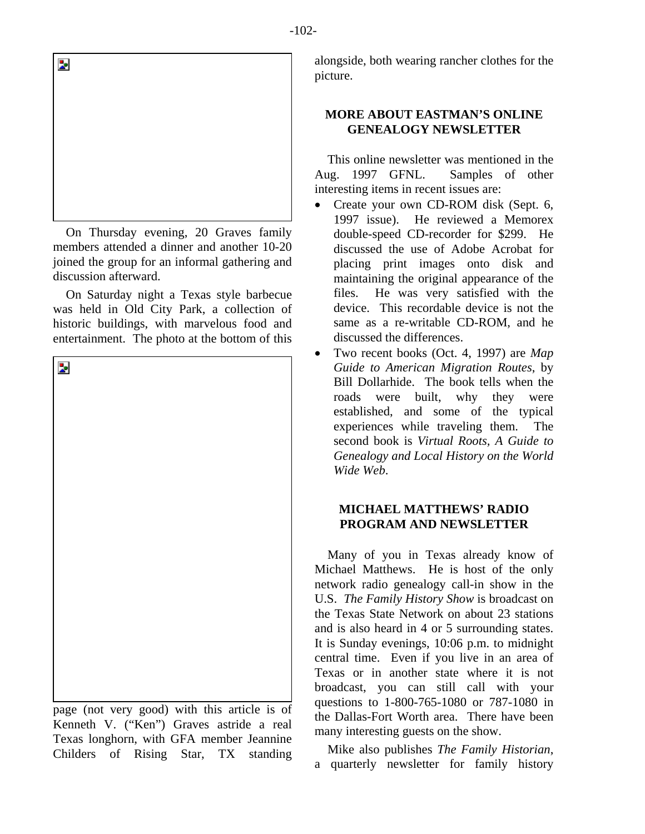

On Thursday evening, 20 Graves family members attended a dinner and another 10-20 joined the group for an informal gathering and discussion afterward.

On Saturday night a Texas style barbecue was held in Old City Park, a collection of historic buildings, with marvelous food and entertainment. The photo at the bottom of this



page (not very good) with this article is of Kenneth V. ("Ken") Graves astride a real Texas longhorn, with GFA member Jeannine Childers of Rising Star, TX standing

alongside, both wearing rancher clothes for the picture.

# **MORE ABOUT EASTMAN'S ONLINE GENEALOGY NEWSLETTER**

This online newsletter was mentioned in the Aug. 1997 GFNL. Samples of other interesting items in recent issues are:

- Create your own CD-ROM disk (Sept. 6, 1997 issue). He reviewed a Memorex double-speed CD-recorder for \$299. He discussed the use of Adobe Acrobat for placing print images onto disk and maintaining the original appearance of the files. He was very satisfied with the device. This recordable device is not the same as a re-writable CD-ROM, and he discussed the differences.
- Two recent books (Oct. 4, 1997) are *Map Guide to American Migration Routes*, by Bill Dollarhide. The book tells when the roads were built, why they were established, and some of the typical experiences while traveling them. The second book is *Virtual Roots, A Guide to Genealogy and Local History on the World Wide Web*.

# **MICHAEL MATTHEWS' RADIO PROGRAM AND NEWSLETTER**

Many of you in Texas already know of Michael Matthews. He is host of the only network radio genealogy call-in show in the U.S. *The Family History Show* is broadcast on the Texas State Network on about 23 stations and is also heard in 4 or 5 surrounding states. It is Sunday evenings, 10:06 p.m. to midnight central time. Even if you live in an area of Texas or in another state where it is not broadcast, you can still call with your questions to 1-800-765-1080 or 787-1080 in the Dallas-Fort Worth area. There have been many interesting guests on the show.

Mike also publishes *The Family Historian*, a quarterly newsletter for family history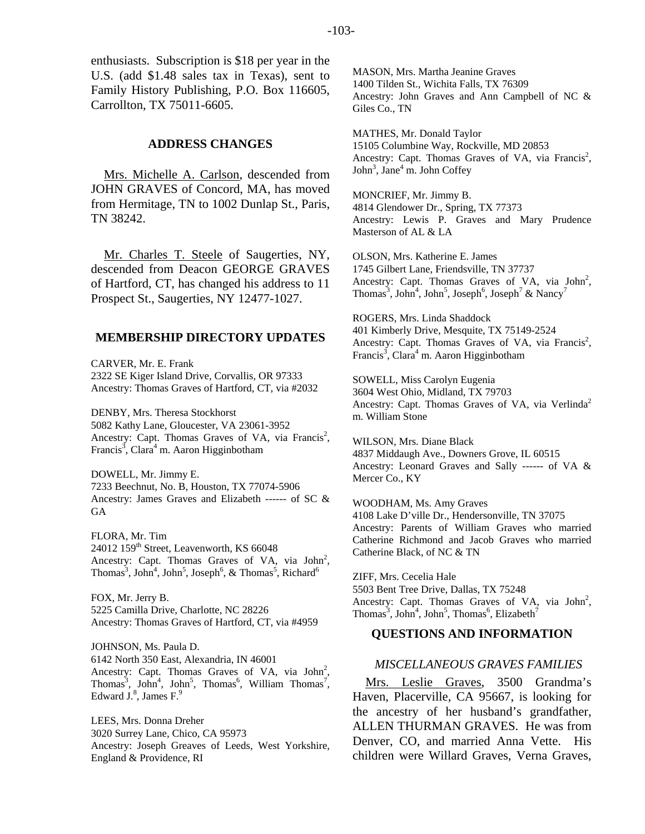enthusiasts. Subscription is \$18 per year in the U.S. (add \$1.48 sales tax in Texas), sent to Family History Publishing, P.O. Box 116605, Carrollton, TX 75011-6605.

## **ADDRESS CHANGES**

Mrs. Michelle A. Carlson, descended from JOHN GRAVES of Concord, MA, has moved from Hermitage, TN to 1002 Dunlap St., Paris, TN 38242.

Mr. Charles T. Steele of Saugerties, NY, descended from Deacon GEORGE GRAVES of Hartford, CT, has changed his address to 11 Prospect St., Saugerties, NY 12477-1027.

#### **MEMBERSHIP DIRECTORY UPDATES**

CARVER, Mr. E. Frank 2322 SE Kiger Island Drive, Corvallis, OR 97333 Ancestry: Thomas Graves of Hartford, CT, via #2032

DENBY, Mrs. Theresa Stockhorst 5082 Kathy Lane, Gloucester, VA 23061-3952 Ancestry: Capt. Thomas Graves of VA, via Francis<sup>2</sup>, Francis<sup>3</sup>, Clara<sup>4</sup> m. Aaron Higginbotham

DOWELL, Mr. Jimmy E. 7233 Beechnut, No. B, Houston, TX 77074-5906 Ancestry: James Graves and Elizabeth ------ of SC & GA

FLORA, Mr. Tim 24012 159<sup>th</sup> Street, Leavenworth, KS 66048 Ancestry: Capt. Thomas Graves of VA, via  $John<sup>2</sup>$ , Thomas<sup>3</sup>, John<sup>5</sup>, John<sup>5</sup>, Joseph<sup>6</sup>, & Thomas<sup>5</sup>, Richard<sup>6</sup>

FOX, Mr. Jerry B. 5225 Camilla Drive, Charlotte, NC 28226 Ancestry: Thomas Graves of Hartford, CT, via #4959

JOHNSON, Ms. Paula D. 6142 North 350 East, Alexandria, IN 46001 Ancestry: Capt. Thomas Graves of VA, via  $John<sup>2</sup>$ , Thomas<sup>3</sup>, John<sup>4</sup>, John<sup>5</sup>, Thomas<sup>6</sup>, William Thomas<sup>7</sup>, Edward J.<sup>8</sup>, James F.<sup>9</sup>

LEES, Mrs. Donna Dreher 3020 Surrey Lane, Chico, CA 95973 Ancestry: Joseph Greaves of Leeds, West Yorkshire, England & Providence, RI

MASON, Mrs. Martha Jeanine Graves 1400 Tilden St., Wichita Falls, TX 76309 Ancestry: John Graves and Ann Campbell of NC & Giles Co., TN

MATHES, Mr. Donald Taylor 15105 Columbine Way, Rockville, MD 20853 Ancestry: Capt. Thomas Graves of VA, via Francis<sup>2</sup>, John<sup>3</sup>, Jane<sup>4</sup> m. John Coffey

MONCRIEF, Mr. Jimmy B. 4814 Glendower Dr., Spring, TX 77373 Ancestry: Lewis P. Graves and Mary Prudence Masterson of AL & LA

OLSON, Mrs. Katherine E. James 1745 Gilbert Lane, Friendsville, TN 37737 Ancestry: Capt. Thomas Graves of VA, via  $John<sup>2</sup>$ , Thomas<sup>3</sup>, John<sup>4</sup>, John<sup>5</sup>, Joseph<sup>6</sup>, Joseph<sup>7</sup> & Nancy<sup>7</sup>

ROGERS, Mrs. Linda Shaddock 401 Kimberly Drive, Mesquite, TX 75149-2524 Ancestry: Capt. Thomas Graves of VA, via Francis<sup>2</sup>, Francis<sup>3</sup>, Clara<sup>4</sup> m. Aaron Higginbotham

SOWELL, Miss Carolyn Eugenia 3604 West Ohio, Midland, TX 79703 Ancestry: Capt. Thomas Graves of VA, via Verlinda<sup>2</sup> m. William Stone

WILSON, Mrs. Diane Black 4837 Middaugh Ave., Downers Grove, IL 60515 Ancestry: Leonard Graves and Sally ------ of VA & Mercer Co., KY

WOODHAM, Ms. Amy Graves 4108 Lake D'ville Dr., Hendersonville, TN 37075 Ancestry: Parents of William Graves who married Catherine Richmond and Jacob Graves who married Catherine Black, of NC & TN

ZIFF, Mrs. Cecelia Hale 5503 Bent Tree Drive, Dallas, TX 75248 Ancestry: Capt. Thomas Graves of VA, via  $John<sup>2</sup>$ , Thomas<sup>3</sup>, John<sup>4</sup>, John<sup>5</sup>, Thomas<sup>6</sup>, Elizabeth<sup>7</sup>

#### **QUESTIONS AND INFORMATION**

#### *MISCELLANEOUS GRAVES FAMILIES*

Mrs. Leslie Graves, 3500 Grandma's Haven, Placerville, CA 95667, is looking for the ancestry of her husband's grandfather, ALLEN THURMAN GRAVES. He was from Denver, CO, and married Anna Vette. His children were Willard Graves, Verna Graves,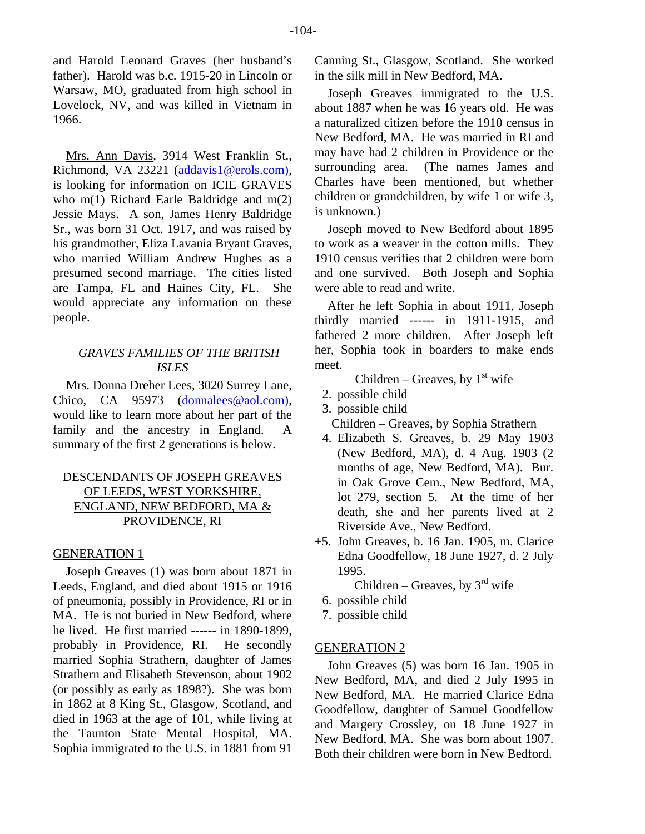and Harold Leonard Graves (her husband's father). Harold was b.c. 1915-20 in Lincoln or Warsaw, MO, graduated from high school in Lovelock, NV, and was killed in Vietnam in 1966.

Mrs. Ann Davis, 3914 West Franklin St., Richmond, VA 23221 [\(addavis1@erols.com\)](mailto:addavis1@erols.com)), is looking for information on ICIE GRAVES who m(1) Richard Earle Baldridge and m(2) Jessie Mays. A son, James Henry Baldridge Sr., was born 31 Oct. 1917, and was raised by his grandmother, Eliza Lavania Bryant Graves, who married William Andrew Hughes as a presumed second marriage. The cities listed are Tampa, FL and Haines City, FL. She would appreciate any information on these people.

# *GRAVES FAMILIES OF THE BRITISH ISLES*

Mrs. Donna Dreher Lees, 3020 Surrey Lane, Chico, CA 95973 ([donnalees@aol.com\)](mailto:donnalees@aol.com)), would like to learn more about her part of the family and the ancestry in England. A summary of the first 2 generations is below.

# DESCENDANTS OF JOSEPH GREAVES OF LEEDS, WEST YORKSHIRE, ENGLAND, NEW BEDFORD, MA & PROVIDENCE, RI

# GENERATION 1

Joseph Greaves (1) was born about 1871 in Leeds, England, and died about 1915 or 1916 of pneumonia, possibly in Providence, RI or in MA. He is not buried in New Bedford, where he lived. He first married ------ in 1890-1899, probably in Providence, RI. He secondly married Sophia Strathern, daughter of James Strathern and Elisabeth Stevenson, about 1902 (or possibly as early as 1898?). She was born in 1862 at 8 King St., Glasgow, Scotland, and died in 1963 at the age of 101, while living at the Taunton State Mental Hospital, MA. Sophia immigrated to the U.S. in 1881 from 91

Canning St., Glasgow, Scotland. She worked in the silk mill in New Bedford, MA.

Joseph Greaves immigrated to the U.S. about 1887 when he was 16 years old. He was a naturalized citizen before the 1910 census in New Bedford, MA. He was married in RI and may have had 2 children in Providence or the surrounding area. (The names James and Charles have been mentioned, but whether children or grandchildren, by wife 1 or wife 3, is unknown.)

Joseph moved to New Bedford about 1895 to work as a weaver in the cotton mills. They 1910 census verifies that 2 children were born and one survived. Both Joseph and Sophia were able to read and write.

After he left Sophia in about 1911, Joseph thirdly married ------ in 1911-1915, and fathered 2 more children. After Joseph left her, Sophia took in boarders to make ends meet.

Children – Greaves, by  $1<sup>st</sup>$  wife

- 2. possible child
- 3. possible child

Children – Greaves, by Sophia Strathern

- 4. Elizabeth S. Greaves, b. 29 May 1903 (New Bedford, MA), d. 4 Aug. 1903 (2 months of age, New Bedford, MA). Bur. in Oak Grove Cem., New Bedford, MA, lot 279, section 5. At the time of her death, she and her parents lived at 2 Riverside Ave., New Bedford.
- +5. John Greaves, b. 16 Jan. 1905, m. Clarice Edna Goodfellow, 18 June 1927, d. 2 July 1995.

Children – Greaves, by  $3<sup>rd</sup>$  wife

- 6. possible child
- 7. possible child

# GENERATION 2

John Greaves (5) was born 16 Jan. 1905 in New Bedford, MA, and died 2 July 1995 in New Bedford, MA. He married Clarice Edna Goodfellow, daughter of Samuel Goodfellow and Margery Crossley, on 18 June 1927 in New Bedford, MA. She was born about 1907. Both their children were born in New Bedford.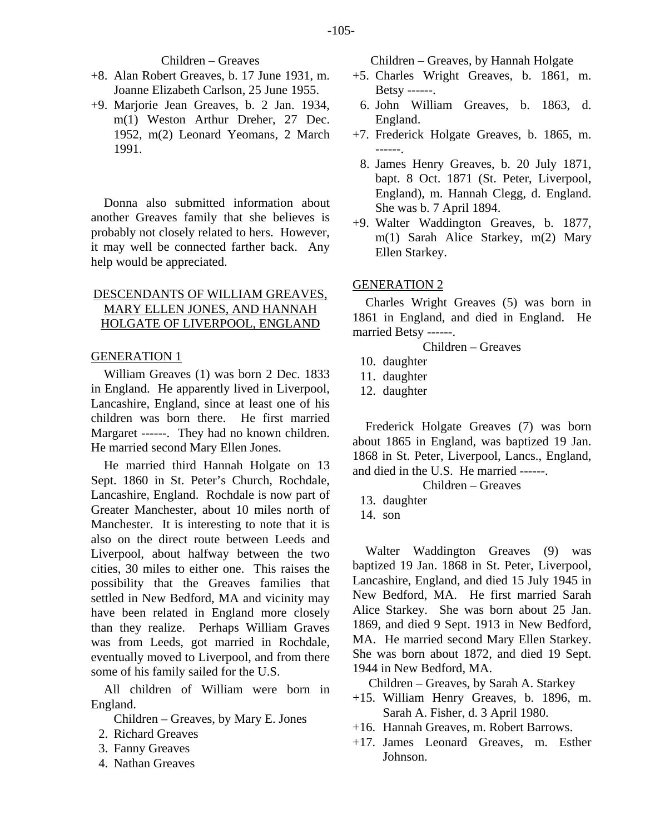## Children – Greaves

- +8. Alan Robert Greaves, b. 17 June 1931, m. Joanne Elizabeth Carlson, 25 June 1955.
- +9. Marjorie Jean Greaves, b. 2 Jan. 1934, m(1) Weston Arthur Dreher, 27 Dec. 1952, m(2) Leonard Yeomans, 2 March 1991.

Donna also submitted information about another Greaves family that she believes is probably not closely related to hers. However, it may well be connected farther back. Any help would be appreciated.

# DESCENDANTS OF WILLIAM GREAVES, MARY ELLEN JONES, AND HANNAH HOLGATE OF LIVERPOOL, ENGLAND

#### GENERATION 1

William Greaves (1) was born 2 Dec. 1833 in England. He apparently lived in Liverpool, Lancashire, England, since at least one of his children was born there. He first married Margaret ------. They had no known children. He married second Mary Ellen Jones.

He married third Hannah Holgate on 13 Sept. 1860 in St. Peter's Church, Rochdale, Lancashire, England. Rochdale is now part of Greater Manchester, about 10 miles north of Manchester. It is interesting to note that it is also on the direct route between Leeds and Liverpool, about halfway between the two cities, 30 miles to either one. This raises the possibility that the Greaves families that settled in New Bedford, MA and vicinity may have been related in England more closely than they realize. Perhaps William Graves was from Leeds, got married in Rochdale, eventually moved to Liverpool, and from there some of his family sailed for the U.S.

All children of William were born in England.

Children – Greaves, by Mary E. Jones

- 2. Richard Greaves
- 3. Fanny Greaves
- 4. Nathan Greaves

Children – Greaves, by Hannah Holgate

- +5. Charles Wright Greaves, b. 1861, m. Betsy ------.
- 6. John William Greaves, b. 1863, d. England.
- +7. Frederick Holgate Greaves, b. 1865, m. ------.
	- 8. James Henry Greaves, b. 20 July 1871, bapt. 8 Oct. 1871 (St. Peter, Liverpool, England), m. Hannah Clegg, d. England. She was b. 7 April 1894.
- +9. Walter Waddington Greaves, b. 1877, m(1) Sarah Alice Starkey, m(2) Mary Ellen Starkey.

# GENERATION 2

Charles Wright Greaves (5) was born in 1861 in England, and died in England. He married Betsy ------.

Children – Greaves

- 10. daughter
- 11. daughter
- 12. daughter

Frederick Holgate Greaves (7) was born about 1865 in England, was baptized 19 Jan. 1868 in St. Peter, Liverpool, Lancs., England, and died in the U.S. He married ------.

Children – Greaves

- 13. daughter
- 14. son

Walter Waddington Greaves (9) was baptized 19 Jan. 1868 in St. Peter, Liverpool, Lancashire, England, and died 15 July 1945 in New Bedford, MA. He first married Sarah Alice Starkey. She was born about 25 Jan. 1869, and died 9 Sept. 1913 in New Bedford, MA. He married second Mary Ellen Starkey. She was born about 1872, and died 19 Sept. 1944 in New Bedford, MA.

Children – Greaves, by Sarah A. Starkey

- +15. William Henry Greaves, b. 1896, m. Sarah A. Fisher, d. 3 April 1980.
- +16. Hannah Greaves, m. Robert Barrows.
- +17. James Leonard Greaves, m. Esther Johnson.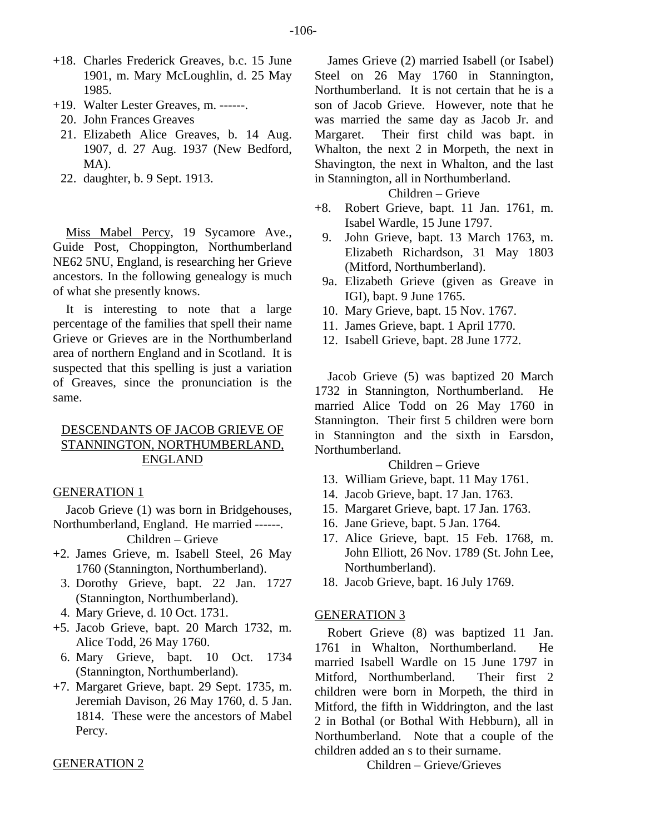- +18. Charles Frederick Greaves, b.c. 15 June 1901, m. Mary McLoughlin, d. 25 May 1985.
- +19. Walter Lester Greaves, m. ------.
	- 20. John Frances Greaves
	- 21. Elizabeth Alice Greaves, b. 14 Aug. 1907, d. 27 Aug. 1937 (New Bedford, MA).
	- 22. daughter, b. 9 Sept. 1913.

Miss Mabel Percy, 19 Sycamore Ave., Guide Post, Choppington, Northumberland NE62 5NU, England, is researching her Grieve ancestors. In the following genealogy is much of what she presently knows.

It is interesting to note that a large percentage of the families that spell their name Grieve or Grieves are in the Northumberland area of northern England and in Scotland. It is suspected that this spelling is just a variation of Greaves, since the pronunciation is the same.

# DESCENDANTS OF JACOB GRIEVE OF STANNINGTON, NORTHUMBERLAND, ENGLAND

# GENERATION 1

Jacob Grieve (1) was born in Bridgehouses, Northumberland, England. He married ------.

Children – Grieve

- +2. James Grieve, m. Isabell Steel, 26 May 1760 (Stannington, Northumberland).
	- 3. Dorothy Grieve, bapt. 22 Jan. 1727 (Stannington, Northumberland).
	- 4. Mary Grieve, d. 10 Oct. 1731.
- +5. Jacob Grieve, bapt. 20 March 1732, m. Alice Todd, 26 May 1760.
- 6. Mary Grieve, bapt. 10 Oct. 1734 (Stannington, Northumberland).
- +7. Margaret Grieve, bapt. 29 Sept. 1735, m. Jeremiah Davison, 26 May 1760, d. 5 Jan. 1814. These were the ancestors of Mabel Percy.

## GENERATION 2

James Grieve (2) married Isabell (or Isabel) Steel on 26 May 1760 in Stannington, Northumberland. It is not certain that he is a son of Jacob Grieve. However, note that he was married the same day as Jacob Jr. and Margaret. Their first child was bapt. in Whalton, the next 2 in Morpeth, the next in Shavington, the next in Whalton, and the last in Stannington, all in Northumberland.

# Children – Grieve

- +8. Robert Grieve, bapt. 11 Jan. 1761, m. Isabel Wardle, 15 June 1797.
- 9. John Grieve, bapt. 13 March 1763, m. Elizabeth Richardson, 31 May 1803 (Mitford, Northumberland).
- 9a. Elizabeth Grieve (given as Greave in IGI), bapt. 9 June 1765.
- 10. Mary Grieve, bapt. 15 Nov. 1767.
- 11. James Grieve, bapt. 1 April 1770.
- 12. Isabell Grieve, bapt. 28 June 1772.

Jacob Grieve (5) was baptized 20 March 1732 in Stannington, Northumberland. He married Alice Todd on 26 May 1760 in Stannington. Their first 5 children were born in Stannington and the sixth in Earsdon, Northumberland.

# Children – Grieve

- 13. William Grieve, bapt. 11 May 1761.
- 14. Jacob Grieve, bapt. 17 Jan. 1763.
- 15. Margaret Grieve, bapt. 17 Jan. 1763.
- 16. Jane Grieve, bapt. 5 Jan. 1764.
- 17. Alice Grieve, bapt. 15 Feb. 1768, m. John Elliott, 26 Nov. 1789 (St. John Lee, Northumberland).
- 18. Jacob Grieve, bapt. 16 July 1769.

# GENERATION 3

Robert Grieve (8) was baptized 11 Jan. 1761 in Whalton, Northumberland. He married Isabell Wardle on 15 June 1797 in Mitford, Northumberland. Their first 2 children were born in Morpeth, the third in Mitford, the fifth in Widdrington, and the last 2 in Bothal (or Bothal With Hebburn), all in Northumberland. Note that a couple of the children added an s to their surname.

Children – Grieve/Grieves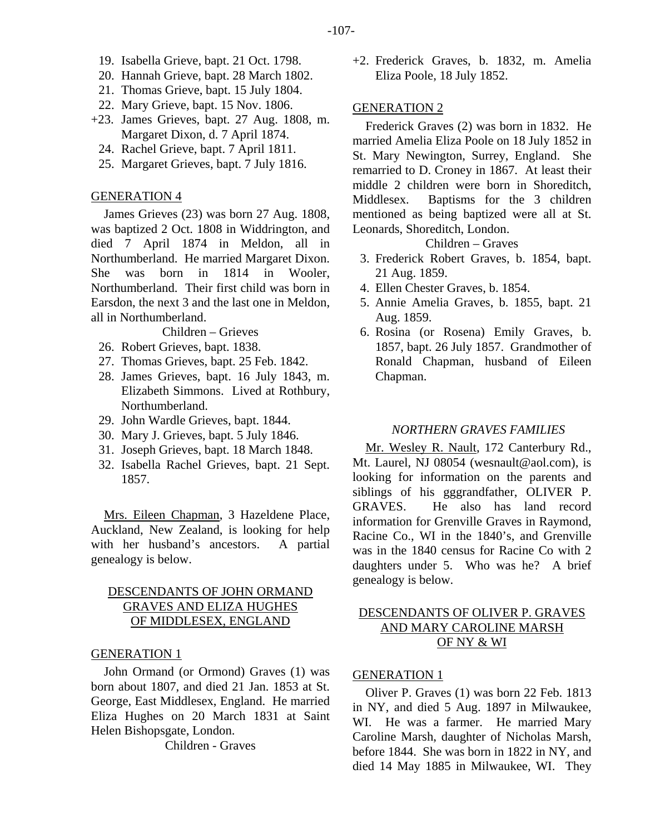- 19. Isabella Grieve, bapt. 21 Oct. 1798.
- 20. Hannah Grieve, bapt. 28 March 1802.
- 21. Thomas Grieve, bapt. 15 July 1804.
- 22. Mary Grieve, bapt. 15 Nov. 1806.
- +23. James Grieves, bapt. 27 Aug. 1808, m. Margaret Dixon, d. 7 April 1874.
	- 24. Rachel Grieve, bapt. 7 April 1811.
	- 25. Margaret Grieves, bapt. 7 July 1816.

## GENERATION 4

James Grieves (23) was born 27 Aug. 1808, was baptized 2 Oct. 1808 in Widdrington, and died 7 April 1874 in Meldon, all in Northumberland. He married Margaret Dixon. She was born in 1814 in Wooler, Northumberland. Their first child was born in Earsdon, the next 3 and the last one in Meldon, all in Northumberland.

Children – Grieves

- 26. Robert Grieves, bapt. 1838.
- 27. Thomas Grieves, bapt. 25 Feb. 1842.
- 28. James Grieves, bapt. 16 July 1843, m. Elizabeth Simmons. Lived at Rothbury, Northumberland.
- 29. John Wardle Grieves, bapt. 1844.
- 30. Mary J. Grieves, bapt. 5 July 1846.
- 31. Joseph Grieves, bapt. 18 March 1848.
- 32. Isabella Rachel Grieves, bapt. 21 Sept. 1857.

Mrs. Eileen Chapman, 3 Hazeldene Place, Auckland, New Zealand, is looking for help with her husband's ancestors. A partial genealogy is below.

# DESCENDANTS OF JOHN ORMAND GRAVES AND ELIZA HUGHES OF MIDDLESEX, ENGLAND

## GENERATION 1

John Ormand (or Ormond) Graves (1) was born about 1807, and died 21 Jan. 1853 at St. George, East Middlesex, England. He married Eliza Hughes on 20 March 1831 at Saint Helen Bishopsgate, London.

Children - Graves

+2. Frederick Graves, b. 1832, m. Amelia Eliza Poole, 18 July 1852.

#### GENERATION 2

Frederick Graves (2) was born in 1832. He married Amelia Eliza Poole on 18 July 1852 in St. Mary Newington, Surrey, England. She remarried to D. Croney in 1867. At least their middle 2 children were born in Shoreditch, Middlesex. Baptisms for the 3 children mentioned as being baptized were all at St. Leonards, Shoreditch, London.

# Children – Graves

- 3. Frederick Robert Graves, b. 1854, bapt. 21 Aug. 1859.
- 4. Ellen Chester Graves, b. 1854.
- 5. Annie Amelia Graves, b. 1855, bapt. 21 Aug. 1859.
- 6. Rosina (or Rosena) Emily Graves, b. 1857, bapt. 26 July 1857. Grandmother of Ronald Chapman, husband of Eileen Chapman.

## *NORTHERN GRAVES FAMILIES*

Mr. Wesley R. Nault, 172 Canterbury Rd., Mt. Laurel, NJ 08054 (wesnault@aol.com), is looking for information on the parents and siblings of his gggrandfather, OLIVER P. GRAVES. He also has land record information for Grenville Graves in Raymond, Racine Co., WI in the 1840's, and Grenville was in the 1840 census for Racine Co with 2 daughters under 5. Who was he? A brief genealogy is below.

# DESCENDANTS OF OLIVER P. GRAVES AND MARY CAROLINE MARSH OF NY & WI

#### GENERATION 1

Oliver P. Graves (1) was born 22 Feb. 1813 in NY, and died 5 Aug. 1897 in Milwaukee, WI. He was a farmer. He married Mary Caroline Marsh, daughter of Nicholas Marsh, before 1844. She was born in 1822 in NY, and died 14 May 1885 in Milwaukee, WI. They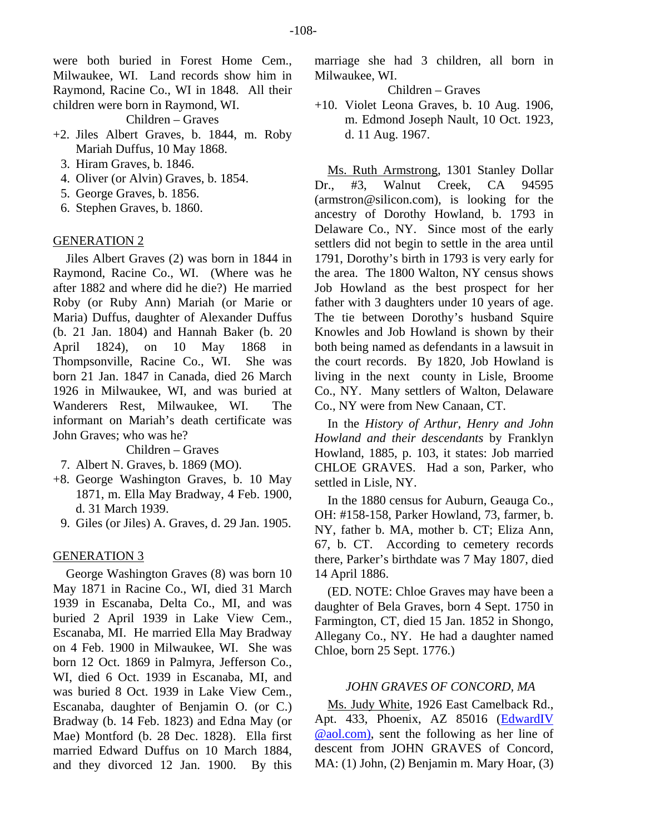were both buried in Forest Home Cem., Milwaukee, WI. Land records show him in Raymond, Racine Co., WI in 1848. All their children were born in Raymond, WI.

Children – Graves

- +2. Jiles Albert Graves, b. 1844, m. Roby Mariah Duffus, 10 May 1868.
	- 3. Hiram Graves, b. 1846.
	- 4. Oliver (or Alvin) Graves, b. 1854.
	- 5. George Graves, b. 1856.
	- 6. Stephen Graves, b. 1860.

## GENERATION 2

Jiles Albert Graves (2) was born in 1844 in Raymond, Racine Co., WI. (Where was he after 1882 and where did he die?) He married Roby (or Ruby Ann) Mariah (or Marie or Maria) Duffus, daughter of Alexander Duffus (b. 21 Jan. 1804) and Hannah Baker (b. 20 April 1824), on 10 May 1868 in Thompsonville, Racine Co., WI. She was born 21 Jan. 1847 in Canada, died 26 March 1926 in Milwaukee, WI, and was buried at Wanderers Rest, Milwaukee, WI. The informant on Mariah's death certificate was John Graves; who was he?

Children – Graves

- 7. Albert N. Graves, b. 1869 (MO).
- +8. George Washington Graves, b. 10 May 1871, m. Ella May Bradway, 4 Feb. 1900, d. 31 March 1939.
	- 9. Giles (or Jiles) A. Graves, d. 29 Jan. 1905.

## GENERATION 3

George Washington Graves (8) was born 10 May 1871 in Racine Co., WI, died 31 March 1939 in Escanaba, Delta Co., MI, and was buried 2 April 1939 in Lake View Cem., Escanaba, MI. He married Ella May Bradway on 4 Feb. 1900 in Milwaukee, WI. She was born 12 Oct. 1869 in Palmyra, Jefferson Co., WI, died 6 Oct. 1939 in Escanaba, MI, and was buried 8 Oct. 1939 in Lake View Cem., Escanaba, daughter of Benjamin O. (or C.) Bradway (b. 14 Feb. 1823) and Edna May (or Mae) Montford (b. 28 Dec. 1828). Ella first married Edward Duffus on 10 March 1884, and they divorced 12 Jan. 1900. By this

marriage she had 3 children, all born in Milwaukee, WI.

## Children – Graves

+10. Violet Leona Graves, b. 10 Aug. 1906, m. Edmond Joseph Nault, 10 Oct. 1923, d. 11 Aug. 1967.

Ms. Ruth Armstrong, 1301 Stanley Dollar Dr., #3, Walnut Creek, CA 94595 (armstron@silicon.com), is looking for the ancestry of Dorothy Howland, b. 1793 in Delaware Co., NY. Since most of the early settlers did not begin to settle in the area until 1791, Dorothy's birth in 1793 is very early for the area. The 1800 Walton, NY census shows Job Howland as the best prospect for her father with 3 daughters under 10 years of age. The tie between Dorothy's husband Squire Knowles and Job Howland is shown by their both being named as defendants in a lawsuit in the court records. By 1820, Job Howland is living in the next county in Lisle, Broome Co., NY. Many settlers of Walton, Delaware Co., NY were from New Canaan, CT.

In the *History of Arthur, Henry and John Howland and their descendants* by Franklyn Howland, 1885, p. 103, it states: Job married CHLOE GRAVES. Had a son, Parker, who settled in Lisle, NY.

In the 1880 census for Auburn, Geauga Co., OH: #158-158, Parker Howland, 73, farmer, b. NY, father b. MA, mother b. CT; Eliza Ann, 67, b. CT. According to cemetery records there, Parker's birthdate was 7 May 1807, died 14 April 1886.

(ED. NOTE: Chloe Graves may have been a daughter of Bela Graves, born 4 Sept. 1750 in Farmington, CT, died 15 Jan. 1852 in Shongo, Allegany Co., NY. He had a daughter named Chloe, born 25 Sept. 1776.)

## *JOHN GRAVES OF CONCORD, MA*

Ms. Judy White, 1926 East Camelback Rd., Apt. 433, Phoenix, AZ 85016 ([EdwardIV](mailto:EdwardIV@aol.com))  [@aol.com\)](mailto:EdwardIV@aol.com)), sent the following as her line of descent from JOHN GRAVES of Concord, MA: (1) John, (2) Benjamin m. Mary Hoar, (3)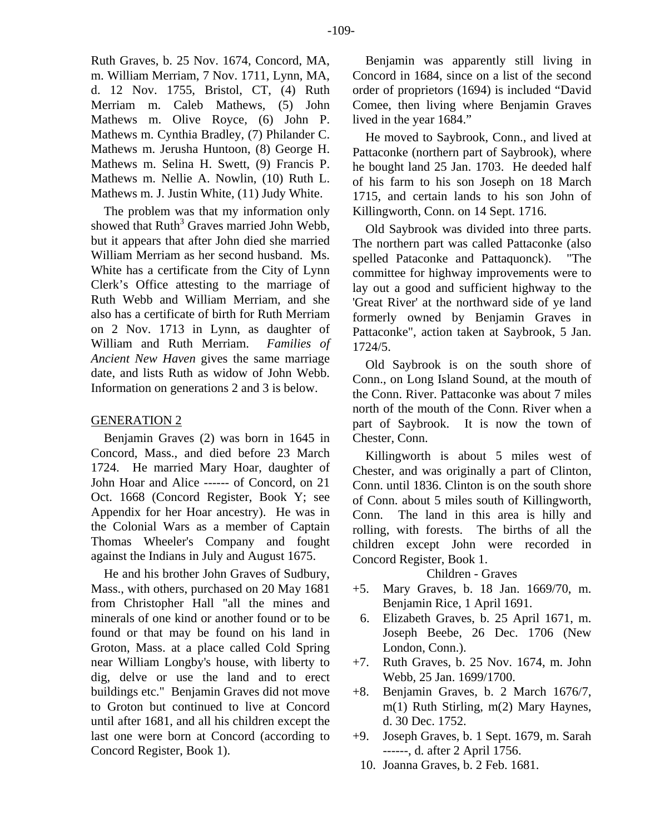Ruth Graves, b. 25 Nov. 1674, Concord, MA, m. William Merriam, 7 Nov. 1711, Lynn, MA, d. 12 Nov. 1755, Bristol, CT, (4) Ruth Merriam m. Caleb Mathews, (5) John Mathews m. Olive Royce, (6) John P. Mathews m. Cynthia Bradley, (7) Philander C. Mathews m. Jerusha Huntoon, (8) George H. Mathews m. Selina H. Swett, (9) Francis P. Mathews m. Nellie A. Nowlin, (10) Ruth L. Mathews m. J. Justin White, (11) Judy White.

The problem was that my information only showed that  $Ruth<sup>3</sup>$  Graves married John Webb, but it appears that after John died she married William Merriam as her second husband. Ms. White has a certificate from the City of Lynn Clerk's Office attesting to the marriage of Ruth Webb and William Merriam, and she also has a certificate of birth for Ruth Merriam on 2 Nov. 1713 in Lynn, as daughter of William and Ruth Merriam. *Families of Ancient New Haven* gives the same marriage date, and lists Ruth as widow of John Webb. Information on generations 2 and 3 is below.

## GENERATION 2

Benjamin Graves (2) was born in 1645 in Concord, Mass., and died before 23 March 1724. He married Mary Hoar, daughter of John Hoar and Alice ------ of Concord, on 21 Oct. 1668 (Concord Register, Book Y; see Appendix for her Hoar ancestry). He was in the Colonial Wars as a member of Captain Thomas Wheeler's Company and fought against the Indians in July and August 1675.

He and his brother John Graves of Sudbury, Mass., with others, purchased on 20 May 1681 from Christopher Hall "all the mines and minerals of one kind or another found or to be found or that may be found on his land in Groton, Mass. at a place called Cold Spring near William Longby's house, with liberty to dig, delve or use the land and to erect buildings etc." Benjamin Graves did not move to Groton but continued to live at Concord until after 1681, and all his children except the last one were born at Concord (according to Concord Register, Book 1).

Benjamin was apparently still living in Concord in 1684, since on a list of the second order of proprietors (1694) is included "David Comee, then living where Benjamin Graves lived in the year 1684."

He moved to Saybrook, Conn., and lived at Pattaconke (northern part of Saybrook), where he bought land 25 Jan. 1703. He deeded half of his farm to his son Joseph on 18 March 1715, and certain lands to his son John of Killingworth, Conn. on 14 Sept. 1716.

Old Saybrook was divided into three parts. The northern part was called Pattaconke (also spelled Pataconke and Pattaquonck). "The committee for highway improvements were to lay out a good and sufficient highway to the 'Great River' at the northward side of ye land formerly owned by Benjamin Graves in Pattaconke", action taken at Saybrook, 5 Jan. 1724/5.

Old Saybrook is on the south shore of Conn., on Long Island Sound, at the mouth of the Conn. River. Pattaconke was about 7 miles north of the mouth of the Conn. River when a part of Saybrook. It is now the town of Chester, Conn.

Killingworth is about 5 miles west of Chester, and was originally a part of Clinton, Conn. until 1836. Clinton is on the south shore of Conn. about 5 miles south of Killingworth, Conn. The land in this area is hilly and rolling, with forests. The births of all the children except John were recorded in Concord Register, Book 1.

Children - Graves

- +5. Mary Graves, b. 18 Jan. 1669/70, m. Benjamin Rice, 1 April 1691.
- 6. Elizabeth Graves, b. 25 April 1671, m. Joseph Beebe, 26 Dec. 1706 (New London, Conn.).
- +7. Ruth Graves, b. 25 Nov. 1674, m. John Webb, 25 Jan. 1699/1700.
- +8. Benjamin Graves, b. 2 March 1676/7, m(1) Ruth Stirling, m(2) Mary Haynes, d. 30 Dec. 1752.
- +9. Joseph Graves, b. 1 Sept. 1679, m. Sarah ------, d. after 2 April 1756.
- 10. Joanna Graves, b. 2 Feb. 1681.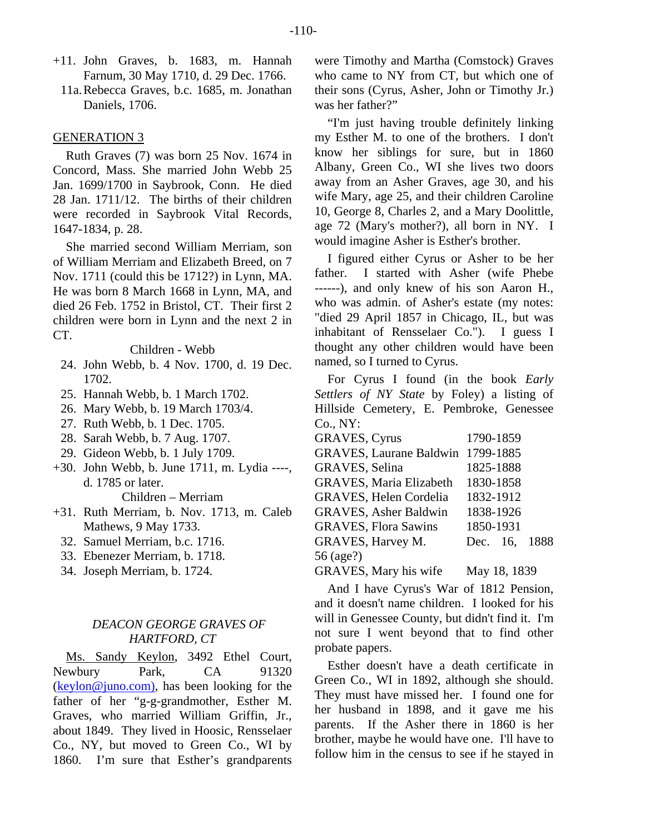- +11. John Graves, b. 1683, m. Hannah Farnum, 30 May 1710, d. 29 Dec. 1766.
	- 11a. Rebecca Graves, b.c. 1685, m. Jonathan Daniels, 1706.

## GENERATION 3

Ruth Graves (7) was born 25 Nov. 1674 in Concord, Mass. She married John Webb 25 Jan. 1699/1700 in Saybrook, Conn. He died 28 Jan. 1711/12. The births of their children were recorded in Saybrook Vital Records, 1647-1834, p. 28.

She married second William Merriam, son of William Merriam and Elizabeth Breed, on 7 Nov. 1711 (could this be 1712?) in Lynn, MA. He was born 8 March 1668 in Lynn, MA, and died 26 Feb. 1752 in Bristol, CT. Their first 2 children were born in Lynn and the next 2 in CT.

#### Children - Webb

- 24. John Webb, b. 4 Nov. 1700, d. 19 Dec. 1702.
- 25. Hannah Webb, b. 1 March 1702.
- 26. Mary Webb, b. 19 March 1703/4.
- 27. Ruth Webb, b. 1 Dec. 1705.
- 28. Sarah Webb, b. 7 Aug. 1707.
- 29. Gideon Webb, b. 1 July 1709.
- +30. John Webb, b. June 1711, m. Lydia ----, d. 1785 or later.

Children – Merriam

- +31. Ruth Merriam, b. Nov. 1713, m. Caleb Mathews, 9 May 1733.
	- 32. Samuel Merriam, b.c. 1716.
	- 33. Ebenezer Merriam, b. 1718.
	- 34. Joseph Merriam, b. 1724.

# *DEACON GEORGE GRAVES OF HARTFORD, CT*

Ms. Sandy Keylon, 3492 Ethel Court, Newbury Park, CA 91320 [\(keylon@juno.com\)](mailto:keylon@juno.com)), has been looking for the father of her "g-g-grandmother, Esther M. Graves, who married William Griffin, Jr., about 1849. They lived in Hoosic, Rensselaer Co., NY, but moved to Green Co., WI by 1860. I'm sure that Esther's grandparents were Timothy and Martha (Comstock) Graves who came to NY from CT, but which one of their sons (Cyrus, Asher, John or Timothy Jr.) was her father?"

"I'm just having trouble definitely linking my Esther M. to one of the brothers. I don't know her siblings for sure, but in 1860 Albany, Green Co., WI she lives two doors away from an Asher Graves, age 30, and his wife Mary, age 25, and their children Caroline 10, George 8, Charles 2, and a Mary Doolittle, age 72 (Mary's mother?), all born in NY. I would imagine Asher is Esther's brother.

I figured either Cyrus or Asher to be her father. I started with Asher (wife Phebe ------), and only knew of his son Aaron H., who was admin. of Asher's estate (my notes: "died 29 April 1857 in Chicago, IL, but was inhabitant of Rensselaer Co."). I guess I thought any other children would have been named, so I turned to Cyrus.

For Cyrus I found (in the book *Early Settlers of NY State* by Foley) a listing of Hillside Cemetery, E. Pembroke, Genessee Co., NY:

| <b>GRAVES, Cyrus</b>           | 1790-1859     |  |
|--------------------------------|---------------|--|
| <b>GRAVES, Laurane Baldwin</b> | 1799-1885     |  |
| <b>GRAVES</b> , Selina         | 1825-1888     |  |
| <b>GRAVES, Maria Elizabeth</b> | 1830-1858     |  |
| <b>GRAVES, Helen Cordelia</b>  | 1832-1912     |  |
| <b>GRAVES, Asher Baldwin</b>   | 1838-1926     |  |
| <b>GRAVES, Flora Sawins</b>    | 1850-1931     |  |
| <b>GRAVES, Harvey M.</b>       | Dec. 16, 1888 |  |
| 56 (age?)                      |               |  |
|                                |               |  |

GRAVES, Mary his wife May 18, 1839

And I have Cyrus's War of 1812 Pension, and it doesn't name children. I looked for his will in Genessee County, but didn't find it. I'm not sure I went beyond that to find other probate papers.

Esther doesn't have a death certificate in Green Co., WI in 1892, although she should. They must have missed her. I found one for her husband in 1898, and it gave me his parents. If the Asher there in 1860 is her brother, maybe he would have one. I'll have to follow him in the census to see if he stayed in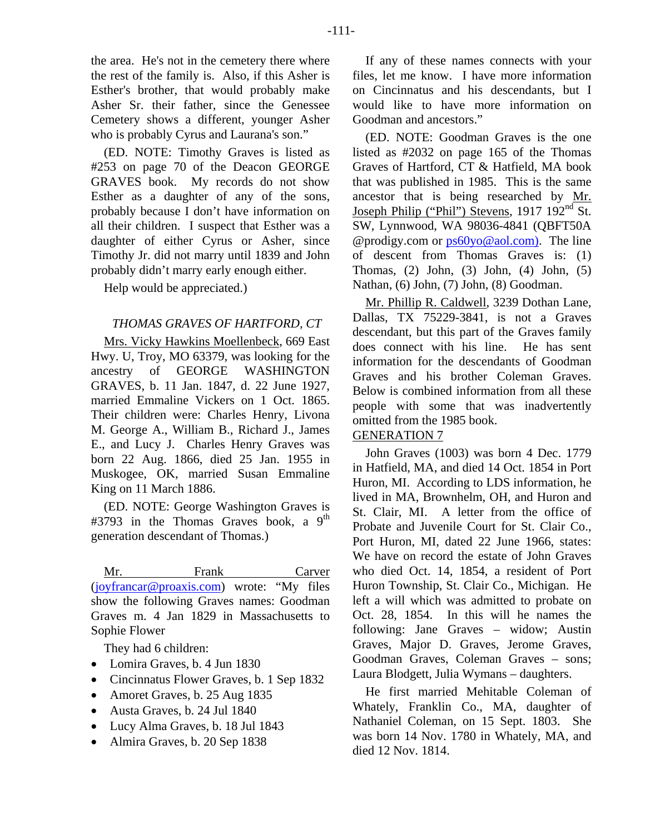the area. He's not in the cemetery there where the rest of the family is. Also, if this Asher is Esther's brother, that would probably make Asher Sr. their father, since the Genessee Cemetery shows a different, younger Asher who is probably Cyrus and Laurana's son."

(ED. NOTE: Timothy Graves is listed as #253 on page 70 of the Deacon GEORGE GRAVES book. My records do not show Esther as a daughter of any of the sons, probably because I don't have information on all their children. I suspect that Esther was a daughter of either Cyrus or Asher, since Timothy Jr. did not marry until 1839 and John probably didn't marry early enough either.

Help would be appreciated.)

# *THOMAS GRAVES OF HARTFORD, CT*

Mrs. Vicky Hawkins Moellenbeck, 669 East Hwy. U, Troy, MO 63379, was looking for the ancestry of GEORGE WASHINGTON GRAVES, b. 11 Jan. 1847, d. 22 June 1927, married Emmaline Vickers on 1 Oct. 1865. Their children were: Charles Henry, Livona M. George A., William B., Richard J., James E., and Lucy J. Charles Henry Graves was born 22 Aug. 1866, died 25 Jan. 1955 in Muskogee, OK, married Susan Emmaline King on 11 March 1886.

(ED. NOTE: George Washington Graves is #3793 in the Thomas Graves book, a  $9<sup>th</sup>$ generation descendant of Thomas.)

Mr. Frank Carver [\(joyfrancar@proaxis.com\)](mailto:joyfrancar@proaxis.com) wrote: "My files show the following Graves names: Goodman Graves m. 4 Jan 1829 in Massachusetts to Sophie Flower

They had 6 children:

- Lomira Graves, b. 4 Jun 1830
- Cincinnatus Flower Graves, b. 1 Sep 1832
- Amoret Graves, b. 25 Aug 1835
- Austa Graves, b. 24 Jul 1840
- Lucy Alma Graves, b. 18 Jul 1843
- Almira Graves, b. 20 Sep 1838

If any of these names connects with your files, let me know. I have more information on Cincinnatus and his descendants, but I would like to have more information on Goodman and ancestors."

(ED. NOTE: Goodman Graves is the one listed as #2032 on page 165 of the Thomas Graves of Hartford, CT & Hatfield, MA book that was published in 1985. This is the same ancestor that is being researched by Mr. Joseph Philip ("Phil") Stevens, 1917 192nd St. SW, Lynnwood, WA 98036-4841 (QBFT50A @prodigy.com or [ps60yo@aol.com\).](mailto:ps60yo@aol.com)) The line of descent from Thomas Graves is: (1) Thomas, (2) John, (3) John, (4) John, (5) Nathan, (6) John, (7) John, (8) Goodman.

Mr. Phillip R. Caldwell, 3239 Dothan Lane, Dallas, TX 75229-3841, is not a Graves descendant, but this part of the Graves family does connect with his line. He has sent information for the descendants of Goodman Graves and his brother Coleman Graves. Below is combined information from all these people with some that was inadvertently omitted from the 1985 book.

# GENERATION 7

John Graves (1003) was born 4 Dec. 1779 in Hatfield, MA, and died 14 Oct. 1854 in Port Huron, MI. According to LDS information, he lived in MA, Brownhelm, OH, and Huron and St. Clair, MI. A letter from the office of Probate and Juvenile Court for St. Clair Co., Port Huron, MI, dated 22 June 1966, states: We have on record the estate of John Graves who died Oct. 14, 1854, a resident of Port Huron Township, St. Clair Co., Michigan. He left a will which was admitted to probate on Oct. 28, 1854. In this will he names the following: Jane Graves – widow; Austin Graves, Major D. Graves, Jerome Graves, Goodman Graves, Coleman Graves – sons; Laura Blodgett, Julia Wymans – daughters.

He first married Mehitable Coleman of Whately, Franklin Co., MA, daughter of Nathaniel Coleman, on 15 Sept. 1803. She was born 14 Nov. 1780 in Whately, MA, and died 12 Nov. 1814.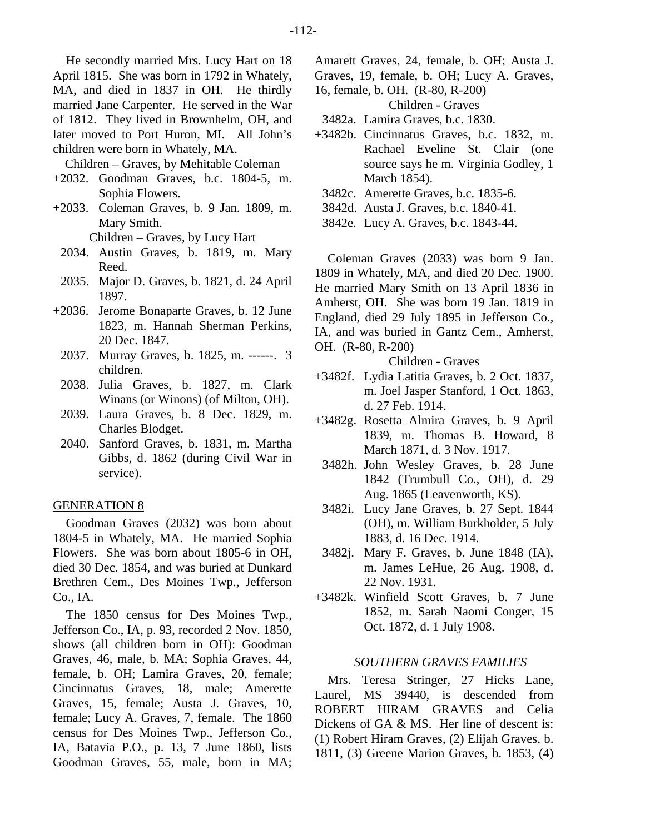He secondly married Mrs. Lucy Hart on 18 April 1815. She was born in 1792 in Whately, MA, and died in 1837 in OH. He thirdly married Jane Carpenter. He served in the War of 1812. They lived in Brownhelm, OH, and later moved to Port Huron, MI. All John's children were born in Whately, MA.

Children – Graves, by Mehitable Coleman

- +2032. Goodman Graves, b.c. 1804-5, m. Sophia Flowers.
- +2033. Coleman Graves, b. 9 Jan. 1809, m. Mary Smith.

Children – Graves, by Lucy Hart

- 2034. Austin Graves, b. 1819, m. Mary Reed.
- 2035. Major D. Graves, b. 1821, d. 24 April 1897.
- +2036. Jerome Bonaparte Graves, b. 12 June 1823, m. Hannah Sherman Perkins, 20 Dec. 1847.
	- 2037. Murray Graves, b. 1825, m. ------. 3 children.
	- 2038. Julia Graves, b. 1827, m. Clark Winans (or Winons) (of Milton, OH).
	- 2039. Laura Graves, b. 8 Dec. 1829, m. Charles Blodget.
- 2040. Sanford Graves, b. 1831, m. Martha Gibbs, d. 1862 (during Civil War in service).

#### GENERATION 8

Goodman Graves (2032) was born about 1804-5 in Whately, MA. He married Sophia Flowers. She was born about 1805-6 in OH, died 30 Dec. 1854, and was buried at Dunkard Brethren Cem., Des Moines Twp., Jefferson Co., IA.

The 1850 census for Des Moines Twp., Jefferson Co., IA, p. 93, recorded 2 Nov. 1850, shows (all children born in OH): Goodman Graves, 46, male, b. MA; Sophia Graves, 44, female, b. OH; Lamira Graves, 20, female; Cincinnatus Graves, 18, male; Amerette Graves, 15, female; Austa J. Graves, 10, female; Lucy A. Graves, 7, female. The 1860 census for Des Moines Twp., Jefferson Co., IA, Batavia P.O., p. 13, 7 June 1860, lists Goodman Graves, 55, male, born in MA; Amarett Graves, 24, female, b. OH; Austa J. Graves, 19, female, b. OH; Lucy A. Graves,

16, female, b. OH. (R-80, R-200)

Children - Graves

3482a. Lamira Graves, b.c. 1830.

- +3482b. Cincinnatus Graves, b.c. 1832, m. Rachael Eveline St. Clair (one source says he m. Virginia Godley, 1 March 1854).
	- 3482c. Amerette Graves, b.c. 1835-6.
	- 3842d. Austa J. Graves, b.c. 1840-41.
	- 3842e. Lucy A. Graves, b.c. 1843-44.

Coleman Graves (2033) was born 9 Jan. 1809 in Whately, MA, and died 20 Dec. 1900. He married Mary Smith on 13 April 1836 in Amherst, OH. She was born 19 Jan. 1819 in England, died 29 July 1895 in Jefferson Co., IA, and was buried in Gantz Cem., Amherst, OH. (R-80, R-200)

Children - Graves

- +3482f. Lydia Latitia Graves, b. 2 Oct. 1837, m. Joel Jasper Stanford, 1 Oct. 1863, d. 27 Feb. 1914.
- +3482g. Rosetta Almira Graves, b. 9 April 1839, m. Thomas B. Howard, 8 March 1871, d. 3 Nov. 1917.
	- 3482h. John Wesley Graves, b. 28 June 1842 (Trumbull Co., OH), d. 29 Aug. 1865 (Leavenworth, KS).
	- 3482i. Lucy Jane Graves, b. 27 Sept. 1844 (OH), m. William Burkholder, 5 July 1883, d. 16 Dec. 1914.
	- 3482j. Mary F. Graves, b. June 1848 (IA), m. James LeHue, 26 Aug. 1908, d. 22 Nov. 1931.
- +3482k. Winfield Scott Graves, b. 7 June 1852, m. Sarah Naomi Conger, 15 Oct. 1872, d. 1 July 1908.

## *SOUTHERN GRAVES FAMILIES*

Mrs. Teresa Stringer, 27 Hicks Lane, Laurel, MS 39440, is descended from ROBERT HIRAM GRAVES and Celia Dickens of GA & MS. Her line of descent is: (1) Robert Hiram Graves, (2) Elijah Graves, b. 1811, (3) Greene Marion Graves, b. 1853, (4)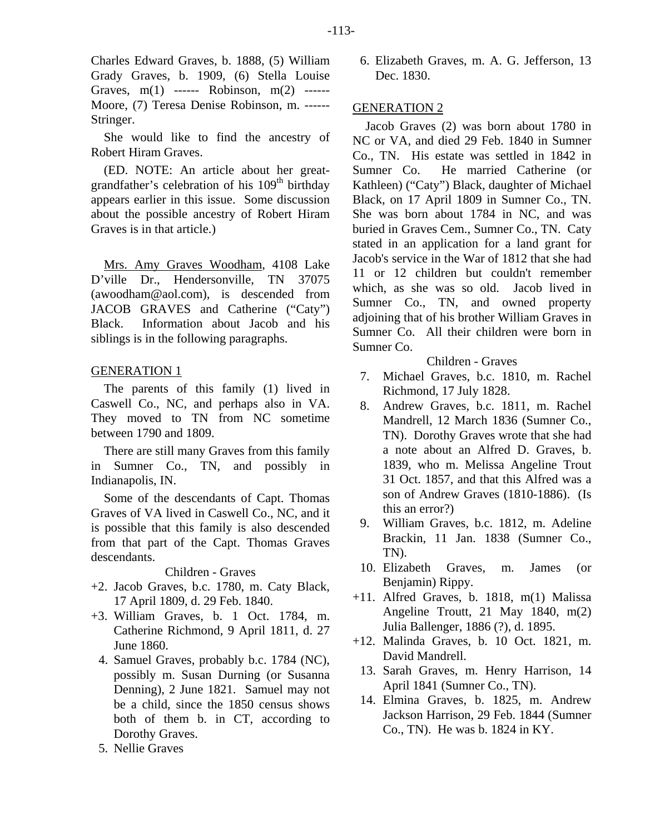Charles Edward Graves, b. 1888, (5) William Grady Graves, b. 1909, (6) Stella Louise Graves, m(1) ------ Robinson, m(2) ------ Moore, (7) Teresa Denise Robinson, m. ------ Stringer.

She would like to find the ancestry of Robert Hiram Graves.

(ED. NOTE: An article about her greatgrandfather's celebration of his  $109<sup>th</sup>$  birthday appears earlier in this issue. Some discussion about the possible ancestry of Robert Hiram Graves is in that article.)

Mrs. Amy Graves Woodham, 4108 Lake D'ville Dr., Hendersonville, TN 37075 (awoodham@aol.com), is descended from JACOB GRAVES and Catherine ("Caty") Black. Information about Jacob and his siblings is in the following paragraphs.

# GENERATION 1

The parents of this family (1) lived in Caswell Co., NC, and perhaps also in VA. They moved to TN from NC sometime between 1790 and 1809.

There are still many Graves from this family in Sumner Co., TN, and possibly in Indianapolis, IN.

Some of the descendants of Capt. Thomas Graves of VA lived in Caswell Co., NC, and it is possible that this family is also descended from that part of the Capt. Thomas Graves descendants.

## Children - Graves

- +2. Jacob Graves, b.c. 1780, m. Caty Black, 17 April 1809, d. 29 Feb. 1840.
- +3. William Graves, b. 1 Oct. 1784, m. Catherine Richmond, 9 April 1811, d. 27 June 1860.
	- 4. Samuel Graves, probably b.c. 1784 (NC), possibly m. Susan Durning (or Susanna Denning), 2 June 1821. Samuel may not be a child, since the 1850 census shows both of them b. in CT, according to Dorothy Graves.
	- 5. Nellie Graves

 6. Elizabeth Graves, m. A. G. Jefferson, 13 Dec. 1830.

## GENERATION 2

Jacob Graves (2) was born about 1780 in NC or VA, and died 29 Feb. 1840 in Sumner Co., TN. His estate was settled in 1842 in Sumner Co. He married Catherine (or Kathleen) ("Caty") Black, daughter of Michael Black, on 17 April 1809 in Sumner Co., TN. She was born about 1784 in NC, and was buried in Graves Cem., Sumner Co., TN. Caty stated in an application for a land grant for Jacob's service in the War of 1812 that she had 11 or 12 children but couldn't remember which, as she was so old. Jacob lived in Sumner Co., TN, and owned property adjoining that of his brother William Graves in Sumner Co. All their children were born in Sumner Co.

Children - Graves

- 7. Michael Graves, b.c. 1810, m. Rachel Richmond, 17 July 1828.
- 8. Andrew Graves, b.c. 1811, m. Rachel Mandrell, 12 March 1836 (Sumner Co., TN). Dorothy Graves wrote that she had a note about an Alfred D. Graves, b. 1839, who m. Melissa Angeline Trout 31 Oct. 1857, and that this Alfred was a son of Andrew Graves (1810-1886). (Is this an error?)
- 9. William Graves, b.c. 1812, m. Adeline Brackin, 11 Jan. 1838 (Sumner Co., TN).
- 10. Elizabeth Graves, m. James (or Benjamin) Rippy.
- +11. Alfred Graves, b. 1818, m(1) Malissa Angeline Troutt, 21 May 1840, m(2) Julia Ballenger, 1886 (?), d. 1895.
- +12. Malinda Graves, b. 10 Oct. 1821, m. David Mandrell.
- 13. Sarah Graves, m. Henry Harrison, 14 April 1841 (Sumner Co., TN).
- 14. Elmina Graves, b. 1825, m. Andrew Jackson Harrison, 29 Feb. 1844 (Sumner Co., TN). He was b. 1824 in KY.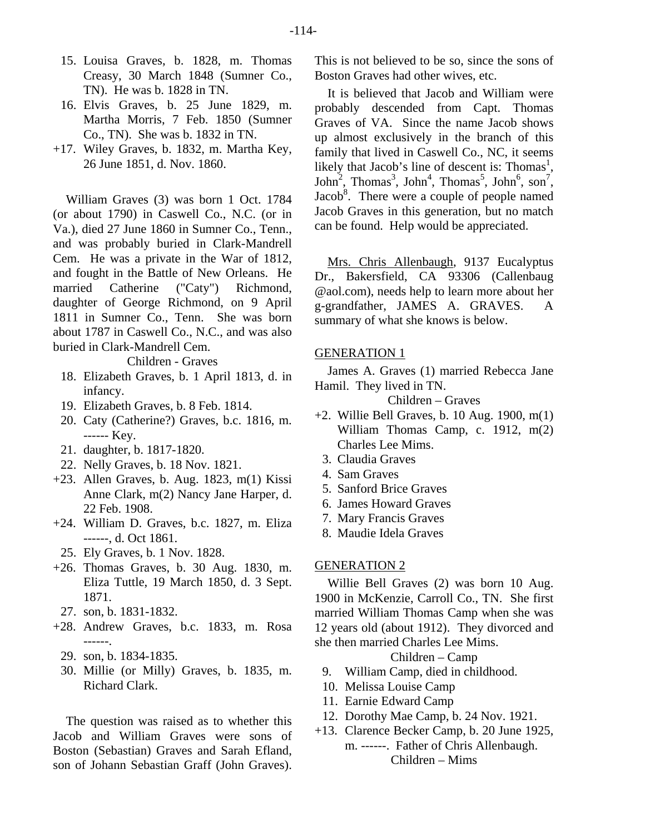- 15. Louisa Graves, b. 1828, m. Thomas Creasy, 30 March 1848 (Sumner Co., TN). He was b. 1828 in TN.
- 16. Elvis Graves, b. 25 June 1829, m. Martha Morris, 7 Feb. 1850 (Sumner Co., TN). She was b. 1832 in TN.
- +17. Wiley Graves, b. 1832, m. Martha Key, 26 June 1851, d. Nov. 1860.

William Graves (3) was born 1 Oct. 1784 (or about 1790) in Caswell Co., N.C. (or in Va.), died 27 June 1860 in Sumner Co., Tenn., and was probably buried in Clark-Mandrell Cem. He was a private in the War of 1812, and fought in the Battle of New Orleans. He married Catherine ("Caty") Richmond, daughter of George Richmond, on 9 April 1811 in Sumner Co., Tenn. She was born about 1787 in Caswell Co., N.C., and was also buried in Clark-Mandrell Cem.

Children - Graves

- 18. Elizabeth Graves, b. 1 April 1813, d. in infancy.
- 19. Elizabeth Graves, b. 8 Feb. 1814.
- 20. Caty (Catherine?) Graves, b.c. 1816, m. ------ Key.
- 21. daughter, b. 1817-1820.
- 22. Nelly Graves, b. 18 Nov. 1821.
- +23. Allen Graves, b. Aug. 1823, m(1) Kissi Anne Clark, m(2) Nancy Jane Harper, d. 22 Feb. 1908.
- +24. William D. Graves, b.c. 1827, m. Eliza ------, d. Oct 1861.
- 25. Ely Graves, b. 1 Nov. 1828.
- +26. Thomas Graves, b. 30 Aug. 1830, m. Eliza Tuttle, 19 March 1850, d. 3 Sept. 1871.
- 27. son, b. 1831-1832.
- +28. Andrew Graves, b.c. 1833, m. Rosa ------.
	- 29. son, b. 1834-1835.
	- 30. Millie (or Milly) Graves, b. 1835, m. Richard Clark.

The question was raised as to whether this Jacob and William Graves were sons of Boston (Sebastian) Graves and Sarah Efland, son of Johann Sebastian Graff (John Graves).

This is not believed to be so, since the sons of Boston Graves had other wives, etc.

It is believed that Jacob and William were probably descended from Capt. Thomas Graves of VA. Since the name Jacob shows up almost exclusively in the branch of this family that lived in Caswell Co., NC, it seems likely that Jacob's line of descent is: Thomas<sup>1</sup>,  $John<sup>2</sup>$ , Thomas<sup>3</sup>, John<sup>4</sup>, Thomas<sup>5</sup>, John<sup>6</sup>, son<sup>7</sup>, Jacob $8$ . There were a couple of people named Jacob Graves in this generation, but no match can be found. Help would be appreciated.

Mrs. Chris Allenbaugh, 9137 Eucalyptus Dr., Bakersfield, CA 93306 (Callenbaug @aol.com), needs help to learn more about her g-grandfather, JAMES A. GRAVES. A summary of what she knows is below.

# GENERATION 1

James A. Graves (1) married Rebecca Jane Hamil. They lived in TN.

Children – Graves

- +2. Willie Bell Graves, b. 10 Aug. 1900, m(1) William Thomas Camp, c. 1912, m(2) Charles Lee Mims.
	- 3. Claudia Graves
	- 4. Sam Graves
	- 5. Sanford Brice Graves
	- 6. James Howard Graves
	- 7. Mary Francis Graves
	- 8. Maudie Idela Graves

## GENERATION 2

Willie Bell Graves (2) was born 10 Aug. 1900 in McKenzie, Carroll Co., TN. She first married William Thomas Camp when she was 12 years old (about 1912). They divorced and she then married Charles Lee Mims.

Children – Camp

- 9. William Camp, died in childhood.
- 10. Melissa Louise Camp
- 11. Earnie Edward Camp
- 12. Dorothy Mae Camp, b. 24 Nov. 1921.
- +13. Clarence Becker Camp, b. 20 June 1925,
	- m. ------. Father of Chris Allenbaugh. Children – Mims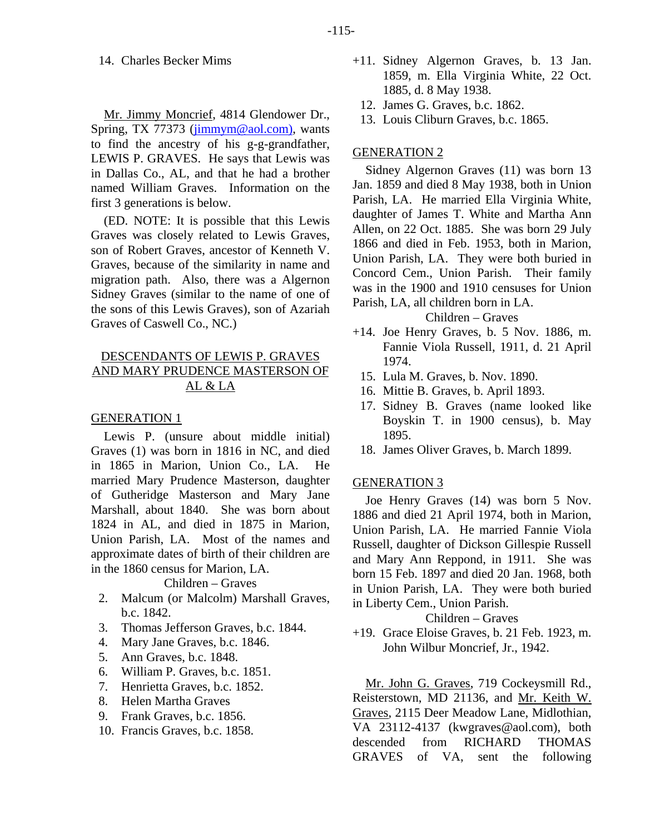# 14. Charles Becker Mims

Mr. Jimmy Moncrief, 4814 Glendower Dr., Spring, TX 77373 [\(jimmym@aol.com\),](mailto:jimmym@aol.com)) wants to find the ancestry of his g-g-grandfather, LEWIS P. GRAVES. He says that Lewis was in Dallas Co., AL, and that he had a brother named William Graves. Information on the first 3 generations is below.

(ED. NOTE: It is possible that this Lewis Graves was closely related to Lewis Graves, son of Robert Graves, ancestor of Kenneth V. Graves, because of the similarity in name and migration path. Also, there was a Algernon Sidney Graves (similar to the name of one of the sons of this Lewis Graves), son of Azariah Graves of Caswell Co., NC.)

# DESCENDANTS OF LEWIS P. GRAVES AND MARY PRUDENCE MASTERSON OF AL & LA

## GENERATION 1

Lewis P. (unsure about middle initial) Graves (1) was born in 1816 in NC, and died in 1865 in Marion, Union Co., LA. He married Mary Prudence Masterson, daughter of Gutheridge Masterson and Mary Jane Marshall, about 1840. She was born about 1824 in AL, and died in 1875 in Marion, Union Parish, LA. Most of the names and approximate dates of birth of their children are in the 1860 census for Marion, LA.

# Children – Graves

- 2. Malcum (or Malcolm) Marshall Graves, b.c. 1842.
- 3. Thomas Jefferson Graves, b.c. 1844.
- 4. Mary Jane Graves, b.c. 1846.
- 5. Ann Graves, b.c. 1848.
- 6. William P. Graves, b.c. 1851.
- 7. Henrietta Graves, b.c. 1852.
- 8. Helen Martha Graves
- 9. Frank Graves, b.c. 1856.
- 10. Francis Graves, b.c. 1858.
- +11. Sidney Algernon Graves, b. 13 Jan. 1859, m. Ella Virginia White, 22 Oct. 1885, d. 8 May 1938.
	- 12. James G. Graves, b.c. 1862.
	- 13. Louis Cliburn Graves, b.c. 1865.

# GENERATION 2

Sidney Algernon Graves (11) was born 13 Jan. 1859 and died 8 May 1938, both in Union Parish, LA. He married Ella Virginia White, daughter of James T. White and Martha Ann Allen, on 22 Oct. 1885. She was born 29 July 1866 and died in Feb. 1953, both in Marion, Union Parish, LA. They were both buried in Concord Cem., Union Parish. Their family was in the 1900 and 1910 censuses for Union Parish, LA, all children born in LA.

## Children – Graves

- +14. Joe Henry Graves, b. 5 Nov. 1886, m. Fannie Viola Russell, 1911, d. 21 April 1974.
	- 15. Lula M. Graves, b. Nov. 1890.
	- 16. Mittie B. Graves, b. April 1893.
	- 17. Sidney B. Graves (name looked like Boyskin T. in 1900 census), b. May 1895.
- 18. James Oliver Graves, b. March 1899.

## GENERATION 3

Joe Henry Graves (14) was born 5 Nov. 1886 and died 21 April 1974, both in Marion, Union Parish, LA. He married Fannie Viola Russell, daughter of Dickson Gillespie Russell and Mary Ann Reppond, in 1911. She was born 15 Feb. 1897 and died 20 Jan. 1968, both in Union Parish, LA. They were both buried in Liberty Cem., Union Parish.

#### Children – Graves

+19. Grace Eloise Graves, b. 21 Feb. 1923, m. John Wilbur Moncrief, Jr., 1942.

Mr. John G. Graves, 719 Cockeysmill Rd., Reisterstown, MD 21136, and Mr. Keith W. Graves, 2115 Deer Meadow Lane, Midlothian, VA 23112-4137 (kwgraves@aol.com), both descended from RICHARD THOMAS GRAVES of VA, sent the following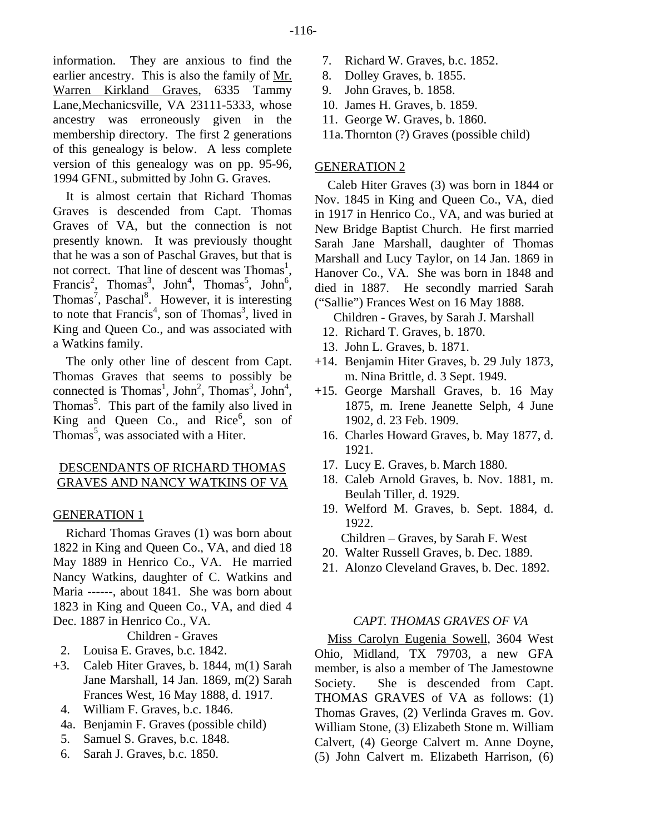information. They are anxious to find the earlier ancestry. This is also the family of Mr. Warren Kirkland Graves, 6335 Tammy Lane,Mechanicsville, VA 23111-5333, whose ancestry was erroneously given in the membership directory. The first 2 generations of this genealogy is below. A less complete version of this genealogy was on pp. 95-96, 1994 GFNL, submitted by John G. Graves.

It is almost certain that Richard Thomas Graves is descended from Capt. Thomas Graves of VA, but the connection is not presently known. It was previously thought that he was a son of Paschal Graves, but that is not correct. That line of descent was Thomas<sup>1</sup>, Francis<sup>2</sup>, Thomas<sup>3</sup>, John<sup>4</sup>, Thomas<sup>5</sup>, John<sup>6</sup>, Thomas<sup>7</sup>, Paschal<sup>8</sup>. However, it is interesting to note that Francis<sup>4</sup>, son of Thomas<sup>3</sup>, lived in King and Queen Co., and was associated with a Watkins family.

The only other line of descent from Capt. Thomas Graves that seems to possibly be connected is Thomas<sup>1</sup>, John<sup>2</sup>, Thomas<sup>3</sup>, John<sup>4</sup>, Thomas<sup>5</sup>. This part of the family also lived in King and Queen Co., and  $Rice^6$ , son of Thomas<sup>5</sup>, was associated with a Hiter.

## DESCENDANTS OF RICHARD THOMAS GRAVES AND NANCY WATKINS OF VA

# **GENERATION 1**

Richard Thomas Graves (1) was born about 1822 in King and Queen Co., VA, and died 18 May 1889 in Henrico Co., VA. He married Nancy Watkins, daughter of C. Watkins and Maria ------, about 1841. She was born about 1823 in King and Queen Co., VA, and died 4 Dec. 1887 in Henrico Co., VA.

Children - Graves

- 2. Louisa E. Graves, b.c. 1842.
- +3. Caleb Hiter Graves, b. 1844, m(1) Sarah Jane Marshall, 14 Jan. 1869, m(2) Sarah Frances West, 16 May 1888, d. 1917.
	- 4. William F. Graves, b.c. 1846.
	- 4a. Benjamin F. Graves (possible child)
	- 5. Samuel S. Graves, b.c. 1848.
	- 6. Sarah J. Graves, b.c. 1850.
- 7. Richard W. Graves, b.c. 1852.
- 8. Dolley Graves, b. 1855.
- 9. John Graves, b. 1858.
- 10. James H. Graves, b. 1859.
- 11. George W. Graves, b. 1860.
- 11a. Thornton (?) Graves (possible child)

# GENERATION 2

Caleb Hiter Graves (3) was born in 1844 or Nov. 1845 in King and Queen Co., VA, died in 1917 in Henrico Co., VA, and was buried at New Bridge Baptist Church. He first married Sarah Jane Marshall, daughter of Thomas Marshall and Lucy Taylor, on 14 Jan. 1869 in Hanover Co., VA. She was born in 1848 and died in 1887. He secondly married Sarah ("Sallie") Frances West on 16 May 1888.

Children - Graves, by Sarah J. Marshall

- 12. Richard T. Graves, b. 1870.
- 13. John L. Graves, b. 1871.
- +14. Benjamin Hiter Graves, b. 29 July 1873, m. Nina Brittle, d. 3 Sept. 1949.
- +15. George Marshall Graves, b. 16 May 1875, m. Irene Jeanette Selph, 4 June 1902, d. 23 Feb. 1909.
	- 16. Charles Howard Graves, b. May 1877, d. 1921.
	- 17. Lucy E. Graves, b. March 1880.
	- 18. Caleb Arnold Graves, b. Nov. 1881, m. Beulah Tiller, d. 1929.
	- 19. Welford M. Graves, b. Sept. 1884, d. 1922.

Children – Graves, by Sarah F. West

- 20. Walter Russell Graves, b. Dec. 1889.
- 21. Alonzo Cleveland Graves, b. Dec. 1892.

# *CAPT. THOMAS GRAVES OF VA*

Miss Carolyn Eugenia Sowell, 3604 West Ohio, Midland, TX 79703, a new GFA member, is also a member of The Jamestowne Society. She is descended from Capt. THOMAS GRAVES of VA as follows: (1) Thomas Graves, (2) Verlinda Graves m. Gov. William Stone, (3) Elizabeth Stone m. William Calvert, (4) George Calvert m. Anne Doyne, (5) John Calvert m. Elizabeth Harrison, (6)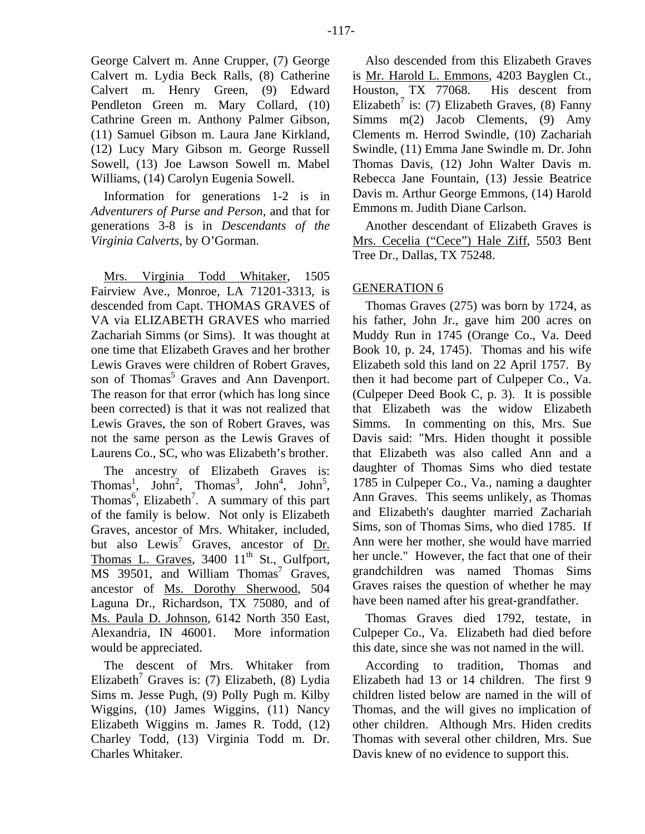George Calvert m. Anne Crupper, (7) George Calvert m. Lydia Beck Ralls, (8) Catherine Calvert m. Henry Green, (9) Edward Pendleton Green m. Mary Collard, (10) Cathrine Green m. Anthony Palmer Gibson, (11) Samuel Gibson m. Laura Jane Kirkland, (12) Lucy Mary Gibson m. George Russell Sowell, (13) Joe Lawson Sowell m. Mabel Williams, (14) Carolyn Eugenia Sowell.

Information for generations 1-2 is in *Adventurers of Purse and Person*, and that for generations 3-8 is in *Descendants of the Virginia Calverts*, by O'Gorman.

Mrs. Virginia Todd Whitaker, 1505 Fairview Ave., Monroe, LA 71201-3313, is descended from Capt. THOMAS GRAVES of VA via ELIZABETH GRAVES who married Zachariah Simms (or Sims). It was thought at one time that Elizabeth Graves and her brother Lewis Graves were children of Robert Graves, son of Thomas<sup>5</sup> Graves and Ann Davenport. The reason for that error (which has long since been corrected) is that it was not realized that Lewis Graves, the son of Robert Graves, was not the same person as the Lewis Graves of Laurens Co., SC, who was Elizabeth's brother.

The ancestry of Elizabeth Graves is: Thomas<sup>1</sup>, John<sup>2</sup>, Thomas<sup>3</sup>, John<sup>4</sup>, John<sup>5</sup>, Thomas<sup>6</sup>, Elizabeth<sup>7</sup>. A summary of this part of the family is below. Not only is Elizabeth Graves, ancestor of Mrs. Whitaker, included, but also Lewis<sup>7</sup> Graves, ancestor of  $Dr$ . Thomas L. Graves,  $3400 \; 11^{\text{th}}$  St., Gulfport, MS 39501, and William Thomas<sup>7</sup> Graves, ancestor of Ms. Dorothy Sherwood, 504 Laguna Dr., Richardson, TX 75080, and of Ms. Paula D. Johnson, 6142 North 350 East, Alexandria, IN 46001. More information would be appreciated.

The descent of Mrs. Whitaker from Elizabeth<sup>7</sup> Graves is: (7) Elizabeth, (8) Lydia Sims m. Jesse Pugh, (9) Polly Pugh m. Kilby Wiggins, (10) James Wiggins, (11) Nancy Elizabeth Wiggins m. James R. Todd, (12) Charley Todd, (13) Virginia Todd m. Dr. Charles Whitaker.

Also descended from this Elizabeth Graves is Mr. Harold L. Emmons, 4203 Bayglen Ct., Houston, TX 77068. His descent from Elizabeth<sup>7</sup> is: (7) Elizabeth Graves, (8) Fanny  $Simms$  m(2) Jacob Clements, (9) Amy Clements m. Herrod Swindle, (10) Zachariah Swindle, (11) Emma Jane Swindle m. Dr. John Thomas Davis, (12) John Walter Davis m. Rebecca Jane Fountain, (13) Jessie Beatrice Davis m. Arthur George Emmons, (14) Harold Emmons m. Judith Diane Carlson.

Another descendant of Elizabeth Graves is Mrs. Cecelia ("Cece") Hale Ziff, 5503 Bent Tree Dr., Dallas, TX 75248.

# GENERATION 6

Thomas Graves (275) was born by 1724, as his father, John Jr., gave him 200 acres on Muddy Run in 1745 (Orange Co., Va. Deed Book 10, p. 24, 1745). Thomas and his wife Elizabeth sold this land on 22 April 1757. By then it had become part of Culpeper Co., Va. (Culpeper Deed Book C, p. 3). It is possible that Elizabeth was the widow Elizabeth Simms. In commenting on this, Mrs. Sue Davis said: "Mrs. Hiden thought it possible that Elizabeth was also called Ann and a daughter of Thomas Sims who died testate 1785 in Culpeper Co., Va., naming a daughter Ann Graves. This seems unlikely, as Thomas and Elizabeth's daughter married Zachariah Sims, son of Thomas Sims, who died 1785. If Ann were her mother, she would have married her uncle." However, the fact that one of their grandchildren was named Thomas Sims Graves raises the question of whether he may have been named after his great-grandfather.

Thomas Graves died 1792, testate, in Culpeper Co., Va. Elizabeth had died before this date, since she was not named in the will.

According to tradition, Thomas and Elizabeth had 13 or 14 children. The first 9 children listed below are named in the will of Thomas, and the will gives no implication of other children. Although Mrs. Hiden credits Thomas with several other children, Mrs. Sue Davis knew of no evidence to support this.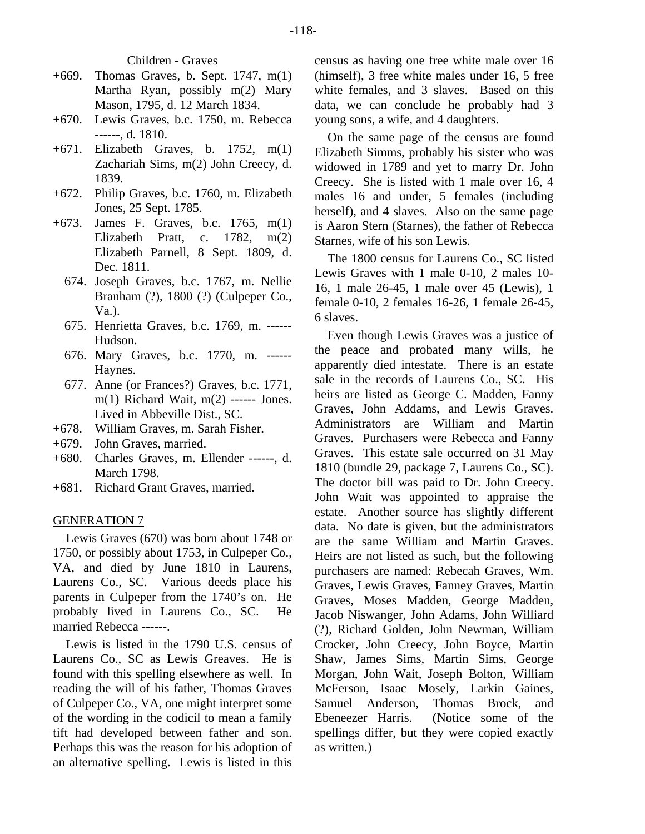Children - Graves

- +669. Thomas Graves, b. Sept. 1747, m(1) Martha Ryan, possibly m(2) Mary Mason, 1795, d. 12 March 1834.
- +670. Lewis Graves, b.c. 1750, m. Rebecca ------, d. 1810.
- +671. Elizabeth Graves, b. 1752, m(1) Zachariah Sims, m(2) John Creecy, d. 1839.
- +672. Philip Graves, b.c. 1760, m. Elizabeth Jones, 25 Sept. 1785.
- +673. James F. Graves, b.c. 1765, m(1) Elizabeth Pratt, c. 1782, m(2) Elizabeth Parnell, 8 Sept. 1809, d. Dec. 1811.
	- 674. Joseph Graves, b.c. 1767, m. Nellie Branham (?), 1800 (?) (Culpeper Co., Va.).
	- 675. Henrietta Graves, b.c. 1769, m. ------ Hudson.
	- 676. Mary Graves, b.c. 1770, m. ------ Haynes.
	- 677. Anne (or Frances?) Graves, b.c. 1771, m(1) Richard Wait, m(2) ------ Jones. Lived in Abbeville Dist., SC.
- +678. William Graves, m. Sarah Fisher.
- +679. John Graves, married.
- +680. Charles Graves, m. Ellender ------, d. March 1798.
- +681. Richard Grant Graves, married.

# GENERATION 7

Lewis Graves (670) was born about 1748 or 1750, or possibly about 1753, in Culpeper Co., VA, and died by June 1810 in Laurens, Laurens Co., SC. Various deeds place his parents in Culpeper from the 1740's on. He probably lived in Laurens Co., SC. He married Rebecca ------.

Lewis is listed in the 1790 U.S. census of Laurens Co., SC as Lewis Greaves. He is found with this spelling elsewhere as well. In reading the will of his father, Thomas Graves of Culpeper Co., VA, one might interpret some of the wording in the codicil to mean a family tift had developed between father and son. Perhaps this was the reason for his adoption of an alternative spelling. Lewis is listed in this

census as having one free white male over 16 (himself), 3 free white males under 16, 5 free white females, and 3 slaves. Based on this data, we can conclude he probably had 3 young sons, a wife, and 4 daughters.

On the same page of the census are found Elizabeth Simms, probably his sister who was widowed in 1789 and yet to marry Dr. John Creecy. She is listed with 1 male over 16, 4 males 16 and under, 5 females (including herself), and 4 slaves. Also on the same page is Aaron Stern (Starnes), the father of Rebecca Starnes, wife of his son Lewis.

The 1800 census for Laurens Co., SC listed Lewis Graves with 1 male 0-10, 2 males 10- 16, 1 male 26-45, 1 male over 45 (Lewis), 1 female 0-10, 2 females 16-26, 1 female 26-45, 6 slaves.

Even though Lewis Graves was a justice of the peace and probated many wills, he apparently died intestate. There is an estate sale in the records of Laurens Co., SC. His heirs are listed as George C. Madden, Fanny Graves, John Addams, and Lewis Graves. Administrators are William and Martin Graves. Purchasers were Rebecca and Fanny Graves. This estate sale occurred on 31 May 1810 (bundle 29, package 7, Laurens Co., SC). The doctor bill was paid to Dr. John Creecy. John Wait was appointed to appraise the estate. Another source has slightly different data. No date is given, but the administrators are the same William and Martin Graves. Heirs are not listed as such, but the following purchasers are named: Rebecah Graves, Wm. Graves, Lewis Graves, Fanney Graves, Martin Graves, Moses Madden, George Madden, Jacob Niswanger, John Adams, John Williard (?), Richard Golden, John Newman, William Crocker, John Creecy, John Boyce, Martin Shaw, James Sims, Martin Sims, George Morgan, John Wait, Joseph Bolton, William McFerson, Isaac Mosely, Larkin Gaines, Samuel Anderson, Thomas Brock, and Ebeneezer Harris. (Notice some of the spellings differ, but they were copied exactly as written.)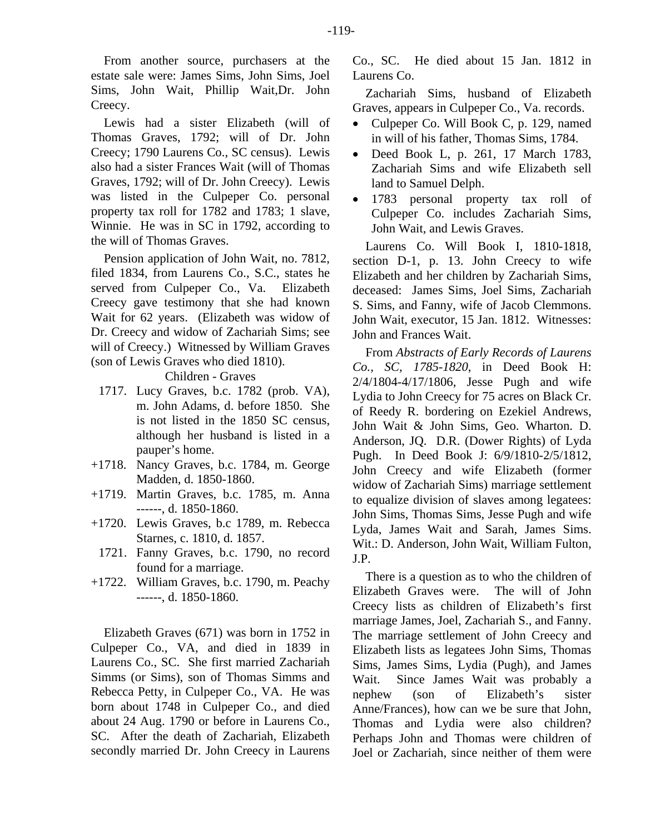From another source, purchasers at the estate sale were: James Sims, John Sims, Joel Sims, John Wait, Phillip Wait,Dr. John Creecy.

Lewis had a sister Elizabeth (will of Thomas Graves, 1792; will of Dr. John Creecy; 1790 Laurens Co., SC census). Lewis also had a sister Frances Wait (will of Thomas Graves, 1792; will of Dr. John Creecy). Lewis was listed in the Culpeper Co. personal property tax roll for 1782 and 1783; 1 slave, Winnie. He was in SC in 1792, according to the will of Thomas Graves.

Pension application of John Wait, no. 7812, filed 1834, from Laurens Co., S.C., states he served from Culpeper Co., Va. Elizabeth Creecy gave testimony that she had known Wait for 62 years. (Elizabeth was widow of Dr. Creecy and widow of Zachariah Sims; see will of Creecy.) Witnessed by William Graves (son of Lewis Graves who died 1810).

Children - Graves

- 1717. Lucy Graves, b.c. 1782 (prob. VA), m. John Adams, d. before 1850. She is not listed in the 1850 SC census, although her husband is listed in a pauper's home.
- +1718. Nancy Graves, b.c. 1784, m. George Madden, d. 1850-1860.
- +1719. Martin Graves, b.c. 1785, m. Anna ------, d. 1850-1860.
- +1720. Lewis Graves, b.c 1789, m. Rebecca Starnes, c. 1810, d. 1857.
- 1721. Fanny Graves, b.c. 1790, no record found for a marriage.
- +1722. William Graves, b.c. 1790, m. Peachy ------, d. 1850-1860.

Elizabeth Graves (671) was born in 1752 in Culpeper Co., VA, and died in 1839 in Laurens Co., SC. She first married Zachariah Simms (or Sims), son of Thomas Simms and Rebecca Petty, in Culpeper Co., VA. He was born about 1748 in Culpeper Co., and died about 24 Aug. 1790 or before in Laurens Co., SC. After the death of Zachariah, Elizabeth secondly married Dr. John Creecy in Laurens Co., SC. He died about 15 Jan. 1812 in Laurens Co.

Zachariah Sims, husband of Elizabeth Graves, appears in Culpeper Co., Va. records.

- Culpeper Co. Will Book C, p. 129, named in will of his father, Thomas Sims, 1784.
- Deed Book L, p. 261, 17 March 1783, Zachariah Sims and wife Elizabeth sell land to Samuel Delph.
- 1783 personal property tax roll of Culpeper Co. includes Zachariah Sims, John Wait, and Lewis Graves.

Laurens Co. Will Book I, 1810-1818, section D-1, p. 13. John Creecy to wife Elizabeth and her children by Zachariah Sims, deceased: James Sims, Joel Sims, Zachariah S. Sims, and Fanny, wife of Jacob Clemmons. John Wait, executor, 15 Jan. 1812. Witnesses: John and Frances Wait.

From *Abstracts of Early Records of Laurens Co., SC, 1785-1820*, in Deed Book H: 2/4/1804-4/17/1806, Jesse Pugh and wife Lydia to John Creecy for 75 acres on Black Cr. of Reedy R. bordering on Ezekiel Andrews, John Wait & John Sims, Geo. Wharton. D. Anderson, JQ. D.R. (Dower Rights) of Lyda Pugh. In Deed Book J: 6/9/1810-2/5/1812, John Creecy and wife Elizabeth (former widow of Zachariah Sims) marriage settlement to equalize division of slaves among legatees: John Sims, Thomas Sims, Jesse Pugh and wife Lyda, James Wait and Sarah, James Sims. Wit.: D. Anderson, John Wait, William Fulton, J.P.

There is a question as to who the children of Elizabeth Graves were. The will of John Creecy lists as children of Elizabeth's first marriage James, Joel, Zachariah S., and Fanny. The marriage settlement of John Creecy and Elizabeth lists as legatees John Sims, Thomas Sims, James Sims, Lydia (Pugh), and James Wait. Since James Wait was probably a nephew (son of Elizabeth's sister Anne/Frances), how can we be sure that John, Thomas and Lydia were also children? Perhaps John and Thomas were children of Joel or Zachariah, since neither of them were